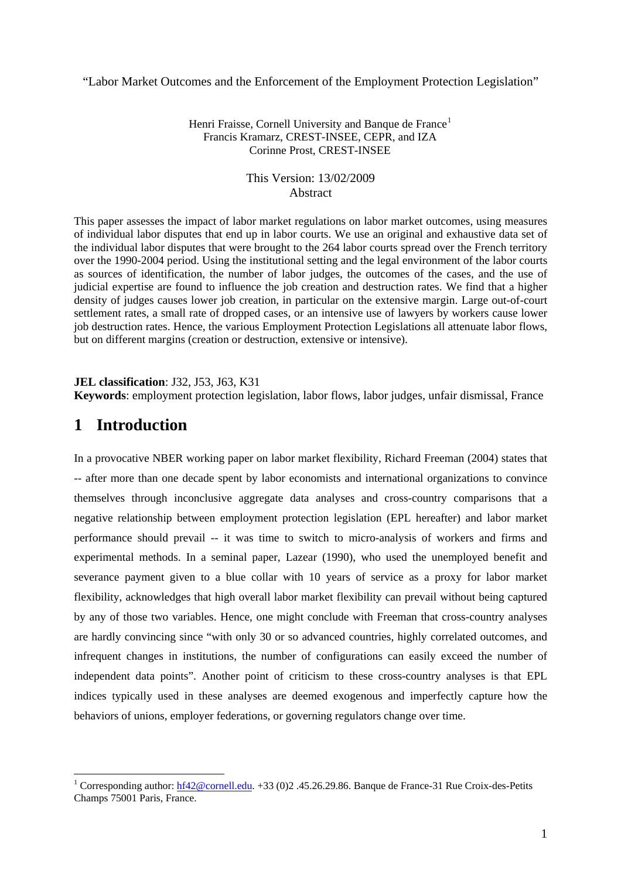"Labor Market Outcomes and the Enforcement of the Employment Protection Legislation"

#### Henri Fraisse, Cornell University and Banque de France<sup>[1](#page-0-0)</sup> Francis Kramarz, CREST-INSEE, CEPR, and IZA Corinne Prost, CREST-INSEE

#### This Version: 13/02/2009 Abstract

This paper assesses the impact of labor market regulations on labor market outcomes, using measures of individual labor disputes that end up in labor courts. We use an original and exhaustive data set of the individual labor disputes that were brought to the 264 labor courts spread over the French territory over the 1990-2004 period. Using the institutional setting and the legal environment of the labor courts as sources of identification, the number of labor judges, the outcomes of the cases, and the use of judicial expertise are found to influence the job creation and destruction rates. We find that a higher density of judges causes lower job creation, in particular on the extensive margin. Large out-of-court settlement rates, a small rate of dropped cases, or an intensive use of lawyers by workers cause lower job destruction rates. Hence, the various Employment Protection Legislations all attenuate labor flows, but on different margins (creation or destruction, extensive or intensive).

**JEL classification**: J32, J53, J63, K31

**Keywords**: employment protection legislation, labor flows, labor judges, unfair dismissal, France

# **1 Introduction**

 $\overline{a}$ 

In a provocative NBER working paper on labor market flexibility, Richard Freeman (2004) states that -- after more than one decade spent by labor economists and international organizations to convince themselves through inconclusive aggregate data analyses and cross-country comparisons that a negative relationship between employment protection legislation (EPL hereafter) and labor market performance should prevail -- it was time to switch to micro-analysis of workers and firms and experimental methods. In a seminal paper, Lazear (1990), who used the unemployed benefit and severance payment given to a blue collar with 10 years of service as a proxy for labor market flexibility, acknowledges that high overall labor market flexibility can prevail without being captured by any of those two variables. Hence, one might conclude with Freeman that cross-country analyses are hardly convincing since "with only 30 or so advanced countries, highly correlated outcomes, and infrequent changes in institutions, the number of configurations can easily exceed the number of independent data points". Another point of criticism to these cross-country analyses is that EPL indices typically used in these analyses are deemed exogenous and imperfectly capture how the behaviors of unions, employer federations, or governing regulators change over time.

<span id="page-0-0"></span><sup>&</sup>lt;sup>1</sup> Corresponding author:  $hf42@cornell.edu$ . +33 (0)2 .45.26.29.86. Banque de France-31 Rue Croix-des-Petits Champs 75001 Paris, France.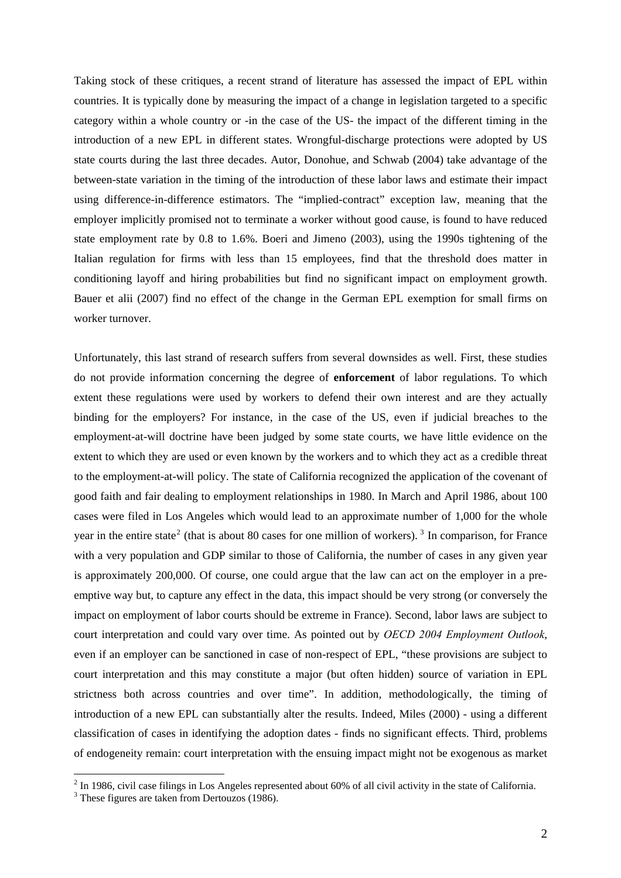Taking stock of these critiques, a recent strand of literature has assessed the impact of EPL within countries. It is typically done by measuring the impact of a change in legislation targeted to a specific category within a whole country or -in the case of the US- the impact of the different timing in the introduction of a new EPL in different states. Wrongful-discharge protections were adopted by US state courts during the last three decades. Autor, Donohue, and Schwab (2004) take advantage of the between-state variation in the timing of the introduction of these labor laws and estimate their impact using difference-in-difference estimators. The "implied-contract" exception law, meaning that the employer implicitly promised not to terminate a worker without good cause, is found to have reduced state employment rate by 0.8 to 1.6%. Boeri and Jimeno (2003), using the 1990s tightening of the Italian regulation for firms with less than 15 employees, find that the threshold does matter in conditioning layoff and hiring probabilities but find no significant impact on employment growth. Bauer et alii (2007) find no effect of the change in the German EPL exemption for small firms on worker turnover.

Unfortunately, this last strand of research suffers from several downsides as well. First, these studies do not provide information concerning the degree of **enforcement** of labor regulations. To which extent these regulations were used by workers to defend their own interest and are they actually binding for the employers? For instance, in the case of the US, even if judicial breaches to the employment-at-will doctrine have been judged by some state courts, we have little evidence on the extent to which they are used or even known by the workers and to which they act as a credible threat to the employment-at-will policy. The state of California recognized the application of the covenant of good faith and fair dealing to employment relationships in 1980. In March and April 1986, about 100 cases were filed in Los Angeles which would lead to an approximate number of 1,000 for the whole year in the entire state<sup>[2](#page-1-0)</sup> (that is about 80 cases for one million of workers).<sup>[3](#page-1-1)</sup> In comparison, for France with a very population and GDP similar to those of California, the number of cases in any given year is approximately 200,000. Of course, one could argue that the law can act on the employer in a preemptive way but, to capture any effect in the data, this impact should be very strong (or conversely the impact on employment of labor courts should be extreme in France). Second, labor laws are subject to court interpretation and could vary over time. As pointed out by *OECD 2004 Employment Outlook*, even if an employer can be sanctioned in case of non-respect of EPL, "these provisions are subject to court interpretation and this may constitute a major (but often hidden) source of variation in EPL strictness both across countries and over time". In addition, methodologically, the timing of introduction of a new EPL can substantially alter the results. Indeed, Miles (2000) - using a different classification of cases in identifying the adoption dates - finds no significant effects. Third, problems of endogeneity remain: court interpretation with the ensuing impact might not be exogenous as market

 $2 \text{ In } 1986$ , civil case filings in Los Angeles represented about 60% of all civil activity in the state of California.

<span id="page-1-1"></span><span id="page-1-0"></span><sup>&</sup>lt;sup>3</sup> These figures are taken from Dertouzos (1986).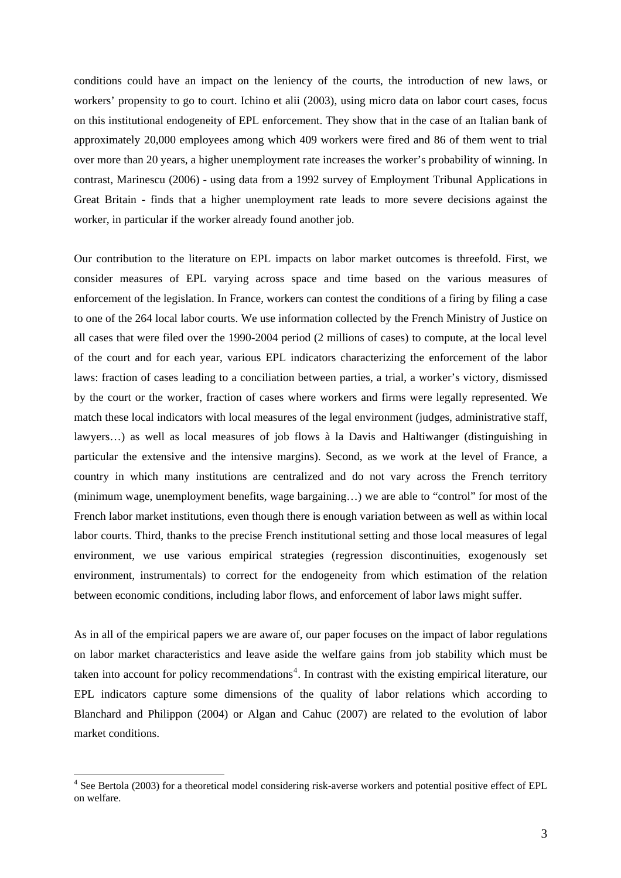conditions could have an impact on the leniency of the courts, the introduction of new laws, or workers' propensity to go to court. Ichino et alii (2003), using micro data on labor court cases, focus on this institutional endogeneity of EPL enforcement. They show that in the case of an Italian bank of approximately 20,000 employees among which 409 workers were fired and 86 of them went to trial over more than 20 years, a higher unemployment rate increases the worker's probability of winning. In contrast, Marinescu (2006) - using data from a 1992 survey of Employment Tribunal Applications in Great Britain - finds that a higher unemployment rate leads to more severe decisions against the worker, in particular if the worker already found another job.

Our contribution to the literature on EPL impacts on labor market outcomes is threefold. First, we consider measures of EPL varying across space and time based on the various measures of enforcement of the legislation. In France, workers can contest the conditions of a firing by filing a case to one of the 264 local labor courts. We use information collected by the French Ministry of Justice on all cases that were filed over the 1990-2004 period (2 millions of cases) to compute, at the local level of the court and for each year, various EPL indicators characterizing the enforcement of the labor laws: fraction of cases leading to a conciliation between parties, a trial, a worker's victory, dismissed by the court or the worker, fraction of cases where workers and firms were legally represented. We match these local indicators with local measures of the legal environment (judges, administrative staff, lawyers…) as well as local measures of job flows à la Davis and Haltiwanger (distinguishing in particular the extensive and the intensive margins). Second, as we work at the level of France, a country in which many institutions are centralized and do not vary across the French territory (minimum wage, unemployment benefits, wage bargaining…) we are able to "control" for most of the French labor market institutions, even though there is enough variation between as well as within local labor courts. Third, thanks to the precise French institutional setting and those local measures of legal environment, we use various empirical strategies (regression discontinuities, exogenously set environment, instrumentals) to correct for the endogeneity from which estimation of the relation between economic conditions, including labor flows, and enforcement of labor laws might suffer.

As in all of the empirical papers we are aware of, our paper focuses on the impact of labor regulations on labor market characteristics and leave aside the welfare gains from job stability which must be taken into account for policy recommendations<sup>[4](#page-2-0)</sup>. In contrast with the existing empirical literature, our EPL indicators capture some dimensions of the quality of labor relations which according to Blanchard and Philippon (2004) or Algan and Cahuc (2007) are related to the evolution of labor market conditions.

<span id="page-2-0"></span><sup>&</sup>lt;sup>4</sup> See Bertola (2003) for a theoretical model considering risk-averse workers and potential positive effect of EPL on welfare.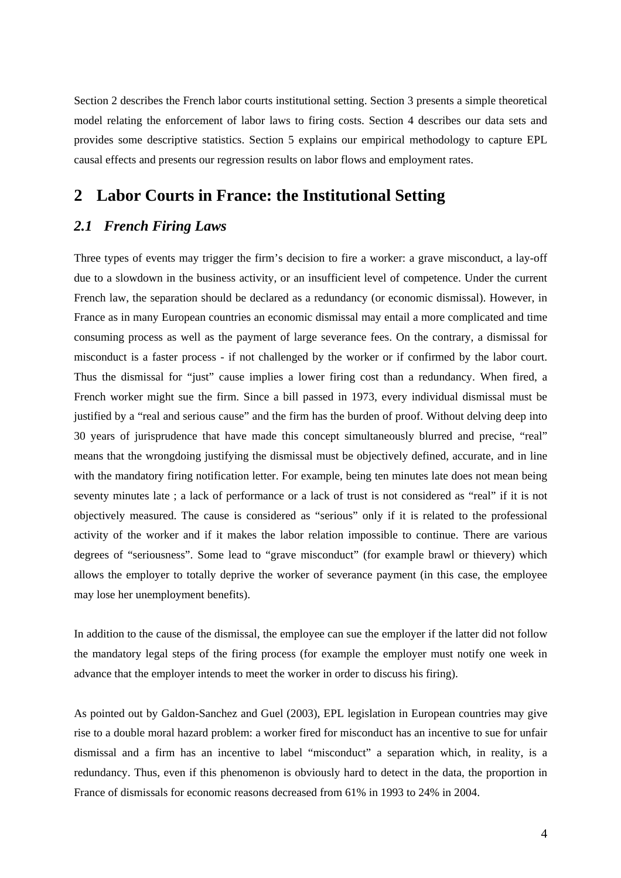Section 2 describes the French labor courts institutional setting. Section 3 presents a simple theoretical model relating the enforcement of labor laws to firing costs. Section 4 describes our data sets and provides some descriptive statistics. Section 5 explains our empirical methodology to capture EPL causal effects and presents our regression results on labor flows and employment rates.

# **2 Labor Courts in France: the Institutional Setting**

## *2.1 French Firing Laws*

Three types of events may trigger the firm's decision to fire a worker: a grave misconduct, a lay-off due to a slowdown in the business activity, or an insufficient level of competence. Under the current French law, the separation should be declared as a redundancy (or economic dismissal). However, in France as in many European countries an economic dismissal may entail a more complicated and time consuming process as well as the payment of large severance fees. On the contrary, a dismissal for misconduct is a faster process - if not challenged by the worker or if confirmed by the labor court. Thus the dismissal for "just" cause implies a lower firing cost than a redundancy. When fired, a French worker might sue the firm. Since a bill passed in 1973, every individual dismissal must be justified by a "real and serious cause" and the firm has the burden of proof. Without delving deep into 30 years of jurisprudence that have made this concept simultaneously blurred and precise, "real" means that the wrongdoing justifying the dismissal must be objectively defined, accurate, and in line with the mandatory firing notification letter. For example, being ten minutes late does not mean being seventy minutes late ; a lack of performance or a lack of trust is not considered as "real" if it is not objectively measured. The cause is considered as "serious" only if it is related to the professional activity of the worker and if it makes the labor relation impossible to continue. There are various degrees of "seriousness". Some lead to "grave misconduct" (for example brawl or thievery) which allows the employer to totally deprive the worker of severance payment (in this case, the employee may lose her unemployment benefits).

In addition to the cause of the dismissal, the employee can sue the employer if the latter did not follow the mandatory legal steps of the firing process (for example the employer must notify one week in advance that the employer intends to meet the worker in order to discuss his firing).

As pointed out by Galdon-Sanchez and Guel (2003), EPL legislation in European countries may give rise to a double moral hazard problem: a worker fired for misconduct has an incentive to sue for unfair dismissal and a firm has an incentive to label "misconduct" a separation which, in reality, is a redundancy. Thus, even if this phenomenon is obviously hard to detect in the data, the proportion in France of dismissals for economic reasons decreased from 61% in 1993 to 24% in 2004.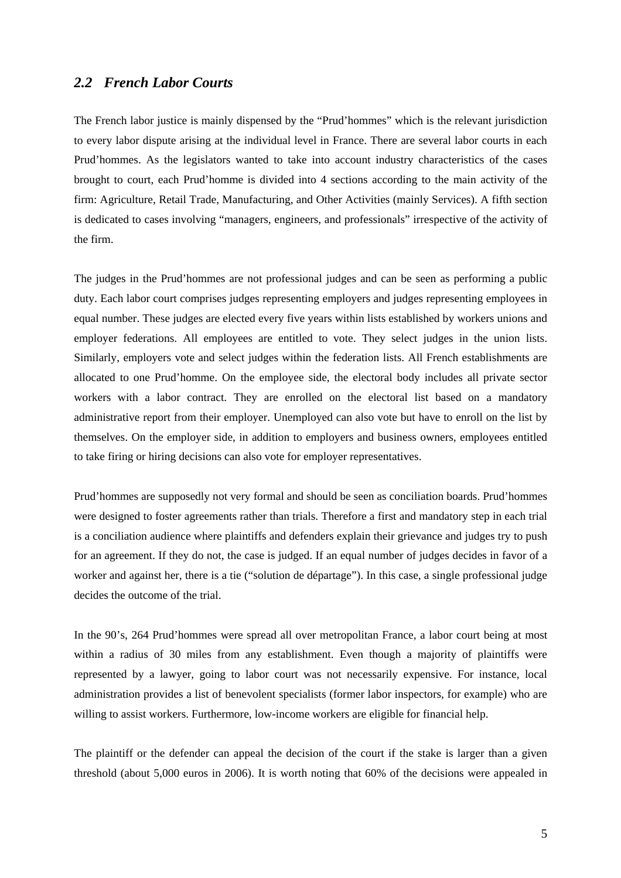## *2.2 French Labor Courts*

The French labor justice is mainly dispensed by the "Prud'hommes" which is the relevant jurisdiction to every labor dispute arising at the individual level in France. There are several labor courts in each Prud'hommes. As the legislators wanted to take into account industry characteristics of the cases brought to court, each Prud'homme is divided into 4 sections according to the main activity of the firm: Agriculture, Retail Trade, Manufacturing, and Other Activities (mainly Services). A fifth section is dedicated to cases involving "managers, engineers, and professionals" irrespective of the activity of the firm.

The judges in the Prud'hommes are not professional judges and can be seen as performing a public duty. Each labor court comprises judges representing employers and judges representing employees in equal number. These judges are elected every five years within lists established by workers unions and employer federations. All employees are entitled to vote. They select judges in the union lists. Similarly, employers vote and select judges within the federation lists. All French establishments are allocated to one Prud'homme. On the employee side, the electoral body includes all private sector workers with a labor contract. They are enrolled on the electoral list based on a mandatory administrative report from their employer. Unemployed can also vote but have to enroll on the list by themselves. On the employer side, in addition to employers and business owners, employees entitled to take firing or hiring decisions can also vote for employer representatives.

Prud'hommes are supposedly not very formal and should be seen as conciliation boards. Prud'hommes were designed to foster agreements rather than trials. Therefore a first and mandatory step in each trial is a conciliation audience where plaintiffs and defenders explain their grievance and judges try to push for an agreement. If they do not, the case is judged. If an equal number of judges decides in favor of a worker and against her, there is a tie ("solution de départage"). In this case, a single professional judge decides the outcome of the trial.

In the 90's, 264 Prud'hommes were spread all over metropolitan France, a labor court being at most within a radius of 30 miles from any establishment. Even though a majority of plaintiffs were represented by a lawyer, going to labor court was not necessarily expensive. For instance, local administration provides a list of benevolent specialists (former labor inspectors, for example) who are willing to assist workers. Furthermore, low-income workers are eligible for financial help.

The plaintiff or the defender can appeal the decision of the court if the stake is larger than a given threshold (about 5,000 euros in 2006). It is worth noting that 60% of the decisions were appealed in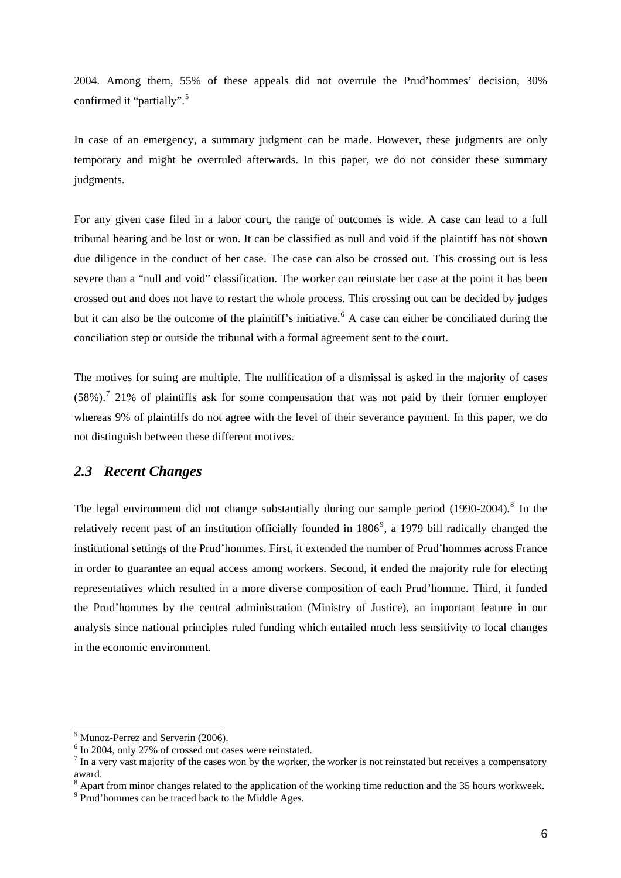<span id="page-5-0"></span>2004. Among them, 55% of these appeals did not overrule the Prud'hommes' decision, 30% confirmed it "partially".<sup>[5](#page-5-0)</sup>

In case of an emergency, a summary judgment can be made. However, these judgments are only temporary and might be overruled afterwards. In this paper, we do not consider these summary judgments.

For any given case filed in a labor court, the range of outcomes is wide. A case can lead to a full tribunal hearing and be lost or won. It can be classified as null and void if the plaintiff has not shown due diligence in the conduct of her case. The case can also be crossed out. This crossing out is less severe than a "null and void" classification. The worker can reinstate her case at the point it has been crossed out and does not have to restart the whole process. This crossing out can be decided by judges but it can also be the outcome of the plaintiff's initiative.<sup>[6](#page-5-0)</sup> A case can either be conciliated during the conciliation step or outside the tribunal with a formal agreement sent to the court.

The motives for suing are multiple. The nullification of a dismissal is asked in the majority of cases  $(58\%)$ .<sup>[7](#page-5-0)</sup> 21% of plaintiffs ask for some compensation that was not paid by their former employer whereas 9% of plaintiffs do not agree with the level of their severance payment. In this paper, we do not distinguish between these different motives.

### *2.3 Recent Changes*

The legal environment did not change substantially during our sample period  $(1990-2004)$ .<sup>[8](#page-5-0)</sup> In the relatively recent past of an institution officially founded in  $1806^{\circ}$ , a 1[9](#page-5-0)79 bill radically changed the institutional settings of the Prud'hommes. First, it extended the number of Prud'hommes across France in order to guarantee an equal access among workers. Second, it ended the majority rule for electing representatives which resulted in a more diverse composition of each Prud'homme. Third, it funded the Prud'hommes by the central administration (Ministry of Justice), an important feature in our analysis since national principles ruled funding which entailed much less sensitivity to local changes in the economic environment.

<sup>&</sup>lt;sup>5</sup> Munoz-Perrez and Serverin (2006).

<sup>&</sup>lt;sup>6</sup> In 2004, only 27% of crossed out cases were reinstated.

 $<sup>7</sup>$  In a very vast majority of the cases won by the worker, the worker is not reinstated but receives a compensatory</sup> award.

 $8$  Apart from minor changes related to the application of the working time reduction and the 35 hours workweek.

<sup>&</sup>lt;sup>9</sup> Prud'hommes can be traced back to the Middle Ages.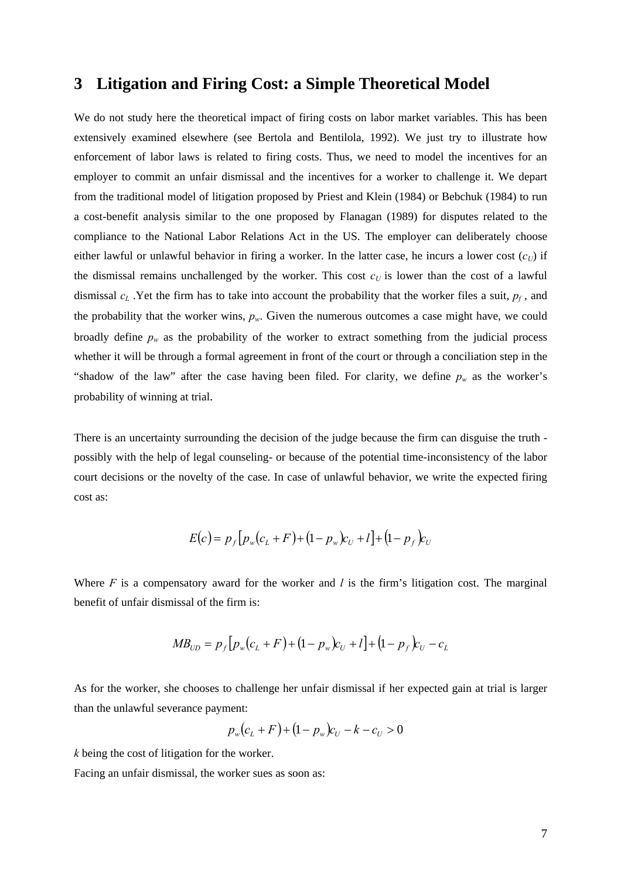## **3 Litigation and Firing Cost: a Simple Theoretical Model**

We do not study here the theoretical impact of firing costs on labor market variables. This has been extensively examined elsewhere (see Bertola and Bentilola, 1992). We just try to illustrate how enforcement of labor laws is related to firing costs. Thus, we need to model the incentives for an employer to commit an unfair dismissal and the incentives for a worker to challenge it. We depart from the traditional model of litigation proposed by Priest and Klein (1984) or Bebchuk (1984) to run a cost-benefit analysis similar to the one proposed by Flanagan (1989) for disputes related to the compliance to the National Labor Relations Act in the US. The employer can deliberately choose either lawful or unlawful behavior in firing a worker. In the latter case, he incurs a lower cost  $(c_U)$  if the dismissal remains unchallenged by the worker. This cost  $c<sub>U</sub>$  is lower than the cost of a lawful dismissal  $c_L$ . Yet the firm has to take into account the probability that the worker files a suit,  $p_f$ , and the probability that the worker wins,  $p_w$ . Given the numerous outcomes a case might have, we could broadly define  $p_w$  as the probability of the worker to extract something from the judicial process whether it will be through a formal agreement in front of the court or through a conciliation step in the "shadow of the law" after the case having been filed. For clarity, we define  $p_w$  as the worker's probability of winning at trial.

There is an uncertainty surrounding the decision of the judge because the firm can disguise the truth possibly with the help of legal counseling- or because of the potential time-inconsistency of the labor court decisions or the novelty of the case. In case of unlawful behavior, we write the expected firing cost as:

$$
E(c) = p_f [p_w (c_L + F) + (1 - p_w) c_U + l] + (1 - p_f) c_U
$$

Where *F* is a compensatory award for the worker and *l* is the firm's litigation cost. The marginal benefit of unfair dismissal of the firm is:

$$
MB_{UD} = p_f [p_w (c_L + F) + (1 - p_w) c_U + l] + (1 - p_f) c_U - c_L
$$

As for the worker, she chooses to challenge her unfair dismissal if her expected gain at trial is larger than the unlawful severance payment:

$$
p_w(c_L + F) + (1 - p_w)c_U - k - c_U > 0
$$

*k* being the cost of litigation for the worker.

Facing an unfair dismissal, the worker sues as soon as: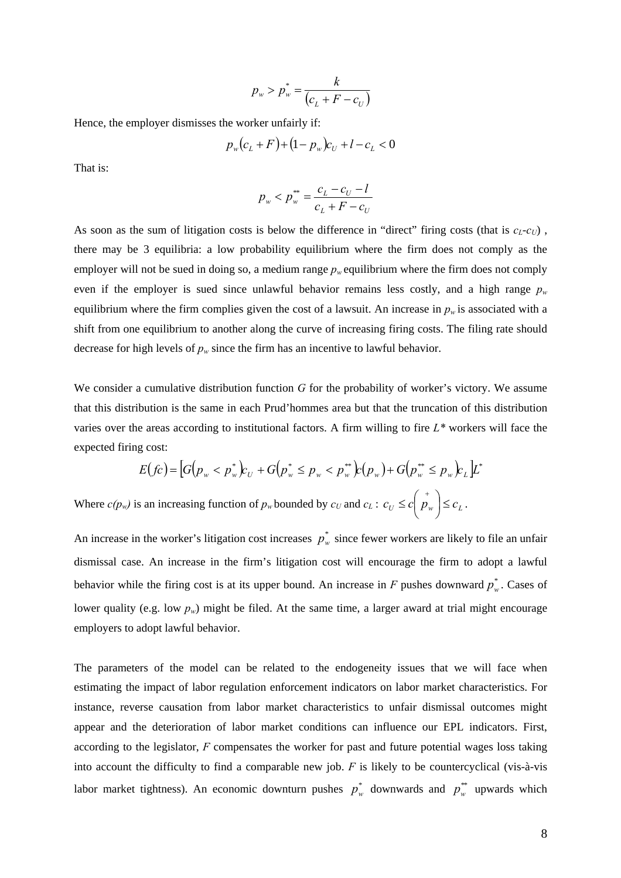$$
p_w > p_w^* = \frac{k}{(c_L + F - c_U)}
$$

Hence, the employer dismisses the worker unfairly if:

$$
p_w(c_L + F) + (1 - p_w)c_U + l - c_L < 0
$$

That is:

$$
p_w < p_w^* = \frac{c_L - c_U - l}{c_L + F - c_U}
$$

As soon as the sum of litigation costs is below the difference in "direct" firing costs (that is  $c_l$ - $c_l$ ), there may be 3 equilibria: a low probability equilibrium where the firm does not comply as the employer will not be sued in doing so, a medium range  $p_w$  equilibrium where the firm does not comply even if the employer is sued since unlawful behavior remains less costly, and a high range  $p_w$ equilibrium where the firm complies given the cost of a lawsuit. An increase in  $p_w$  is associated with a shift from one equilibrium to another along the curve of increasing firing costs. The filing rate should decrease for high levels of  $p_w$  since the firm has an incentive to lawful behavior.

We consider a cumulative distribution function *G* for the probability of worker's victory. We assume that this distribution is the same in each Prud'hommes area but that the truncation of this distribution varies over the areas according to institutional factors. A firm willing to fire *L\** workers will face the expected firing cost:

$$
E(fc) = [G(p_w < p_w^*)c_U + G(p_w^* \le p_w < p_w^{**})c(p_w) + G(p_w^{**} \le p_w)c_L]L^*
$$

Where  $c(p_w)$  is an increasing function of  $p_w$  bounded by  $c_U$  and  $c_L$ :  $c_U \le c \left(\frac{1}{p_w}\right) \le c_L$ . ⎝  $\leq c \left( \begin{array}{c} + \\ p \end{array} \right)$ 

An increase in the worker's litigation cost increases  $p_w^*$  since fewer workers are likely to file an unfair dismissal case. An increase in the firm's litigation cost will encourage the firm to adopt a lawful behavior while the firing cost is at its upper bound. An increase in  $F$  pushes downward  $p_w^*$ . Cases of lower quality (e.g. low  $p_w$ ) might be filed. At the same time, a larger award at trial might encourage employers to adopt lawful behavior.

The parameters of the model can be related to the endogeneity issues that we will face when estimating the impact of labor regulation enforcement indicators on labor market characteristics. For instance, reverse causation from labor market characteristics to unfair dismissal outcomes might appear and the deterioration of labor market conditions can influence our EPL indicators. First, according to the legislator, *F* compensates the worker for past and future potential wages loss taking into account the difficulty to find a comparable new job. *F* is likely to be countercyclical (vis-à-vis labor market tightness). An economic downturn pushes  $p_w^*$  downwards and  $p_w^{**}$  upwards which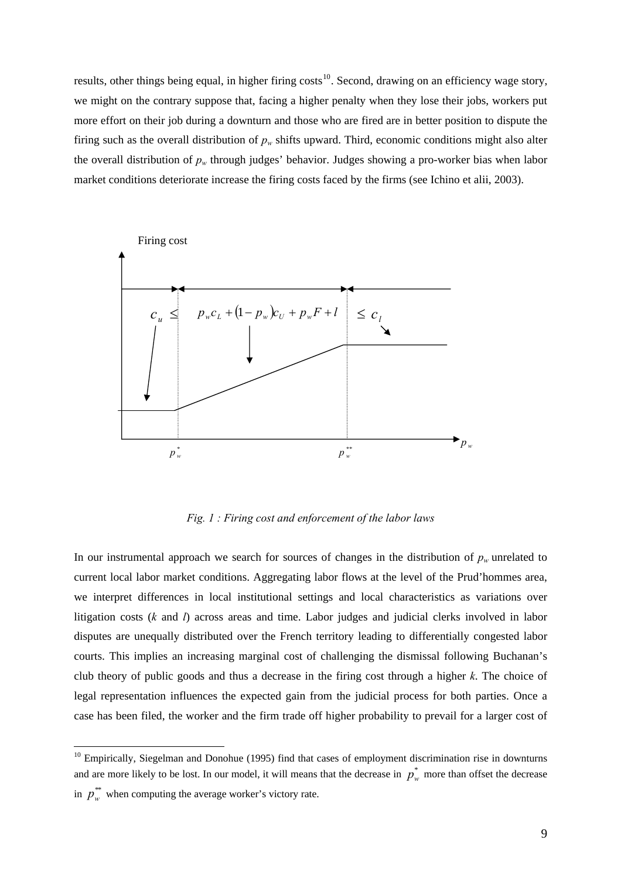<span id="page-8-0"></span>results, other things being equal, in higher firing costs<sup>[10](#page-8-0)</sup>. Second, drawing on an efficiency wage story, we might on the contrary suppose that, facing a higher penalty when they lose their jobs, workers put more effort on their job during a downturn and those who are fired are in better position to dispute the firing such as the overall distribution of  $p_w$  shifts upward. Third, economic conditions might also alter the overall distribution of *pw* through judges' behavior. Judges showing a pro-worker bias when labor market conditions deteriorate increase the firing costs faced by the firms (see Ichino et alii, 2003).



*Fig. 1 : Firing cost and enforcement of the labor laws* 

In our instrumental approach we search for sources of changes in the distribution of  $p_w$  unrelated to current local labor market conditions. Aggregating labor flows at the level of the Prud'hommes area, we interpret differences in local institutional settings and local characteristics as variations over litigation costs (*k* and *l*) across areas and time. Labor judges and judicial clerks involved in labor disputes are unequally distributed over the French territory leading to differentially congested labor courts. This implies an increasing marginal cost of challenging the dismissal following Buchanan's club theory of public goods and thus a decrease in the firing cost through a higher *k*. The choice of legal representation influences the expected gain from the judicial process for both parties. Once a case has been filed, the worker and the firm trade off higher probability to prevail for a larger cost of

 $10$  Empirically, Siegelman and Donohue (1995) find that cases of employment discrimination rise in downturns and are more likely to be lost. In our model, it will means that the decrease in  $p_w^*$  more than offset the decrease in  $p_w^*$  when computing the average worker's victory rate.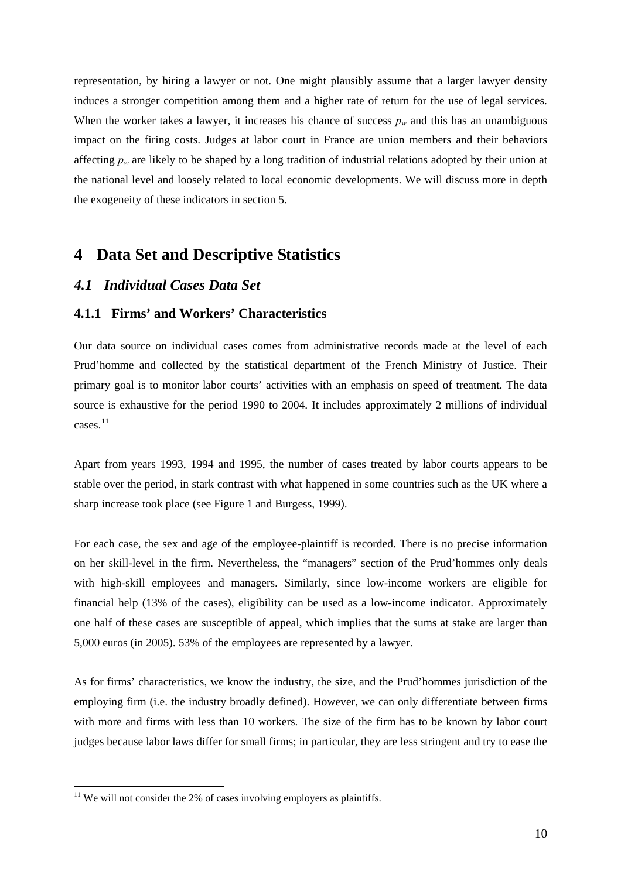<span id="page-9-0"></span>representation, by hiring a lawyer or not. One might plausibly assume that a larger lawyer density induces a stronger competition among them and a higher rate of return for the use of legal services. When the worker takes a lawyer, it increases his chance of success  $p_w$  and this has an unambiguous impact on the firing costs. Judges at labor court in France are union members and their behaviors affecting  $p_w$  are likely to be shaped by a long tradition of industrial relations adopted by their union at the national level and loosely related to local economic developments. We will discuss more in depth the exogeneity of these indicators in section 5.

## **4 Data Set and Descriptive Statistics**

### *4.1 Individual Cases Data Set*

#### **4.1.1 Firms' and Workers' Characteristics**

Our data source on individual cases comes from administrative records made at the level of each Prud'homme and collected by the statistical department of the French Ministry of Justice. Their primary goal is to monitor labor courts' activities with an emphasis on speed of treatment. The data source is exhaustive for the period 1990 to 2004. It includes approximately 2 millions of individual cases.<sup>[11](#page-9-0)</sup>

Apart from years 1993, 1994 and 1995, the number of cases treated by labor courts appears to be stable over the period, in stark contrast with what happened in some countries such as the UK where a sharp increase took place (see Figure 1 and Burgess, 1999).

For each case, the sex and age of the employee-plaintiff is recorded. There is no precise information on her skill-level in the firm. Nevertheless, the "managers" section of the Prud'hommes only deals with high-skill employees and managers. Similarly, since low-income workers are eligible for financial help (13% of the cases), eligibility can be used as a low-income indicator. Approximately one half of these cases are susceptible of appeal, which implies that the sums at stake are larger than 5,000 euros (in 2005). 53% of the employees are represented by a lawyer.

As for firms' characteristics, we know the industry, the size, and the Prud'hommes jurisdiction of the employing firm (i.e. the industry broadly defined). However, we can only differentiate between firms with more and firms with less than 10 workers. The size of the firm has to be known by labor court judges because labor laws differ for small firms; in particular, they are less stringent and try to ease the

 $11$  We will not consider the 2% of cases involving employers as plaintiffs.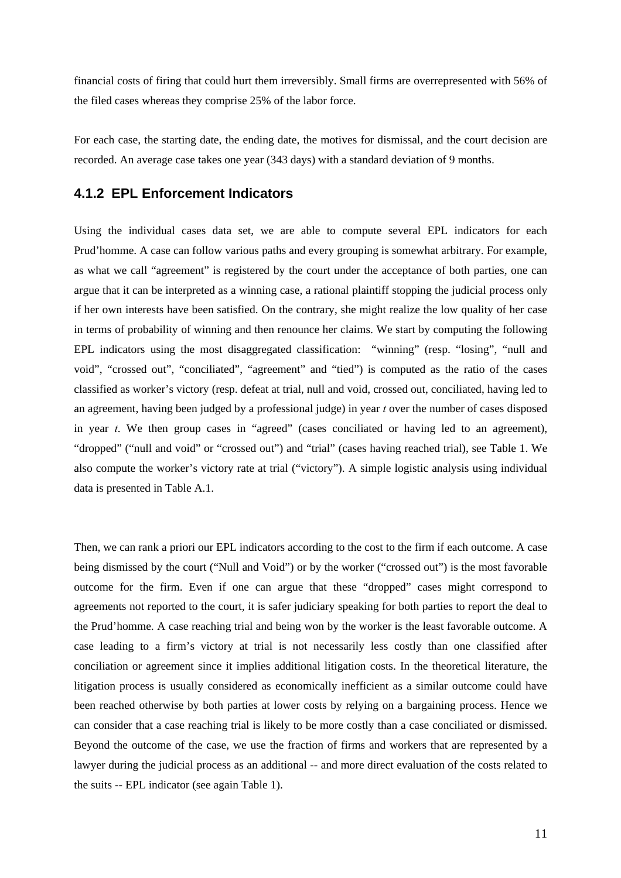financial costs of firing that could hurt them irreversibly. Small firms are overrepresented with 56% of the filed cases whereas they comprise 25% of the labor force.

For each case, the starting date, the ending date, the motives for dismissal, and the court decision are recorded. An average case takes one year (343 days) with a standard deviation of 9 months.

### **4.1.2 EPL Enforcement Indicators**

Using the individual cases data set, we are able to compute several EPL indicators for each Prud'homme. A case can follow various paths and every grouping is somewhat arbitrary. For example, as what we call "agreement" is registered by the court under the acceptance of both parties, one can argue that it can be interpreted as a winning case, a rational plaintiff stopping the judicial process only if her own interests have been satisfied. On the contrary, she might realize the low quality of her case in terms of probability of winning and then renounce her claims. We start by computing the following EPL indicators using the most disaggregated classification: "winning" (resp. "losing", "null and void", "crossed out", "conciliated", "agreement" and "tied") is computed as the ratio of the cases classified as worker's victory (resp. defeat at trial, null and void, crossed out, conciliated, having led to an agreement, having been judged by a professional judge) in year *t* over the number of cases disposed in year *t*. We then group cases in "agreed" (cases conciliated or having led to an agreement), "dropped" ("null and void" or "crossed out") and "trial" (cases having reached trial), see Table 1. We also compute the worker's victory rate at trial ("victory"). A simple logistic analysis using individual data is presented in Table A.1.

Then, we can rank a priori our EPL indicators according to the cost to the firm if each outcome. A case being dismissed by the court ("Null and Void") or by the worker ("crossed out") is the most favorable outcome for the firm. Even if one can argue that these "dropped" cases might correspond to agreements not reported to the court, it is safer judiciary speaking for both parties to report the deal to the Prud'homme. A case reaching trial and being won by the worker is the least favorable outcome. A case leading to a firm's victory at trial is not necessarily less costly than one classified after conciliation or agreement since it implies additional litigation costs. In the theoretical literature, the litigation process is usually considered as economically inefficient as a similar outcome could have been reached otherwise by both parties at lower costs by relying on a bargaining process. Hence we can consider that a case reaching trial is likely to be more costly than a case conciliated or dismissed. Beyond the outcome of the case, we use the fraction of firms and workers that are represented by a lawyer during the judicial process as an additional -- and more direct evaluation of the costs related to the suits -- EPL indicator (see again Table 1).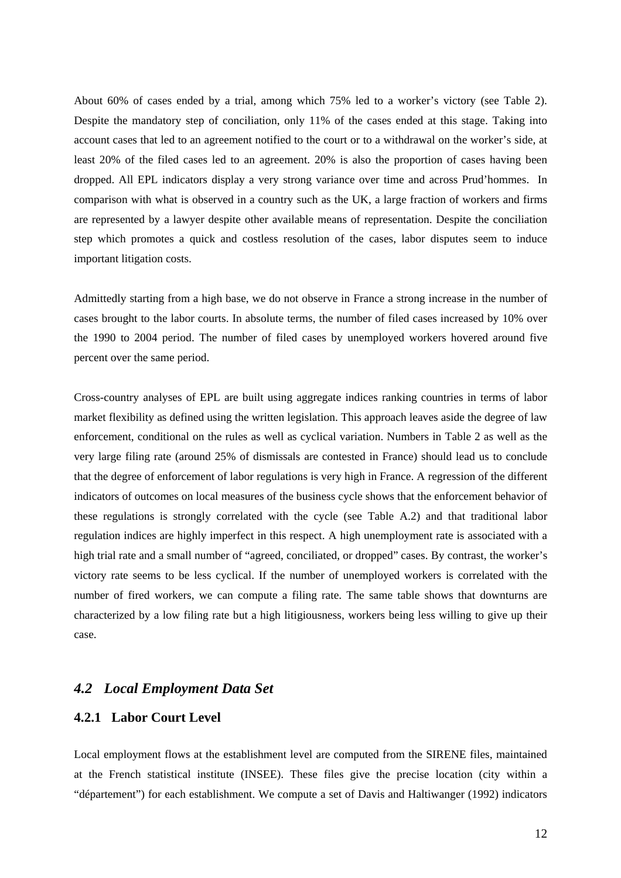About 60% of cases ended by a trial, among which 75% led to a worker's victory (see Table 2). Despite the mandatory step of conciliation, only 11% of the cases ended at this stage. Taking into account cases that led to an agreement notified to the court or to a withdrawal on the worker's side, at least 20% of the filed cases led to an agreement. 20% is also the proportion of cases having been dropped. All EPL indicators display a very strong variance over time and across Prud'hommes. In comparison with what is observed in a country such as the UK, a large fraction of workers and firms are represented by a lawyer despite other available means of representation. Despite the conciliation step which promotes a quick and costless resolution of the cases, labor disputes seem to induce important litigation costs.

Admittedly starting from a high base, we do not observe in France a strong increase in the number of cases brought to the labor courts. In absolute terms, the number of filed cases increased by 10% over the 1990 to 2004 period. The number of filed cases by unemployed workers hovered around five percent over the same period.

Cross-country analyses of EPL are built using aggregate indices ranking countries in terms of labor market flexibility as defined using the written legislation. This approach leaves aside the degree of law enforcement, conditional on the rules as well as cyclical variation. Numbers in Table 2 as well as the very large filing rate (around 25% of dismissals are contested in France) should lead us to conclude that the degree of enforcement of labor regulations is very high in France. A regression of the different indicators of outcomes on local measures of the business cycle shows that the enforcement behavior of these regulations is strongly correlated with the cycle (see Table A.2) and that traditional labor regulation indices are highly imperfect in this respect. A high unemployment rate is associated with a high trial rate and a small number of "agreed, conciliated, or dropped" cases. By contrast, the worker's victory rate seems to be less cyclical. If the number of unemployed workers is correlated with the number of fired workers, we can compute a filing rate. The same table shows that downturns are characterized by a low filing rate but a high litigiousness, workers being less willing to give up their case.

### *4.2 Local Employment Data Set*

### **4.2.1 Labor Court Level**

Local employment flows at the establishment level are computed from the SIRENE files, maintained at the French statistical institute (INSEE). These files give the precise location (city within a "département") for each establishment. We compute a set of Davis and Haltiwanger (1992) indicators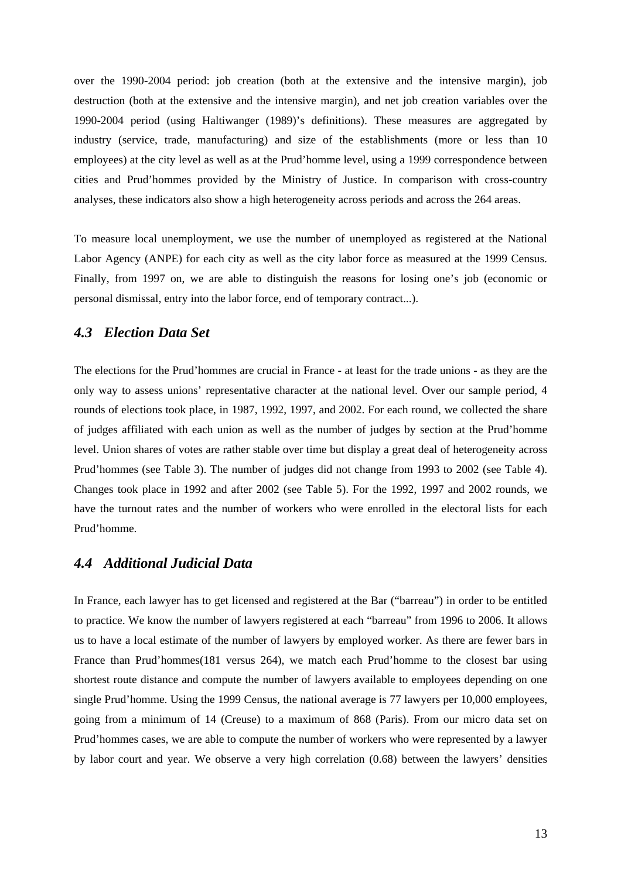over the 1990-2004 period: job creation (both at the extensive and the intensive margin), job destruction (both at the extensive and the intensive margin), and net job creation variables over the 1990-2004 period (using Haltiwanger (1989)'s definitions). These measures are aggregated by industry (service, trade, manufacturing) and size of the establishments (more or less than 10 employees) at the city level as well as at the Prud'homme level, using a 1999 correspondence between cities and Prud'hommes provided by the Ministry of Justice. In comparison with cross-country analyses, these indicators also show a high heterogeneity across periods and across the 264 areas.

To measure local unemployment, we use the number of unemployed as registered at the National Labor Agency (ANPE) for each city as well as the city labor force as measured at the 1999 Census. Finally, from 1997 on, we are able to distinguish the reasons for losing one's job (economic or personal dismissal, entry into the labor force, end of temporary contract...).

#### *4.3 Election Data Set*

The elections for the Prud'hommes are crucial in France - at least for the trade unions - as they are the only way to assess unions' representative character at the national level. Over our sample period, 4 rounds of elections took place, in 1987, 1992, 1997, and 2002. For each round, we collected the share of judges affiliated with each union as well as the number of judges by section at the Prud'homme level. Union shares of votes are rather stable over time but display a great deal of heterogeneity across Prud'hommes (see Table 3). The number of judges did not change from 1993 to 2002 (see Table 4). Changes took place in 1992 and after 2002 (see Table 5). For the 1992, 1997 and 2002 rounds, we have the turnout rates and the number of workers who were enrolled in the electoral lists for each Prud'homme.

#### *4.4 Additional Judicial Data*

In France, each lawyer has to get licensed and registered at the Bar ("barreau") in order to be entitled to practice. We know the number of lawyers registered at each "barreau" from 1996 to 2006. It allows us to have a local estimate of the number of lawyers by employed worker. As there are fewer bars in France than Prud'hommes(181 versus 264), we match each Prud'homme to the closest bar using shortest route distance and compute the number of lawyers available to employees depending on one single Prud'homme. Using the 1999 Census, the national average is 77 lawyers per 10,000 employees, going from a minimum of 14 (Creuse) to a maximum of 868 (Paris). From our micro data set on Prud'hommes cases, we are able to compute the number of workers who were represented by a lawyer by labor court and year. We observe a very high correlation (0.68) between the lawyers' densities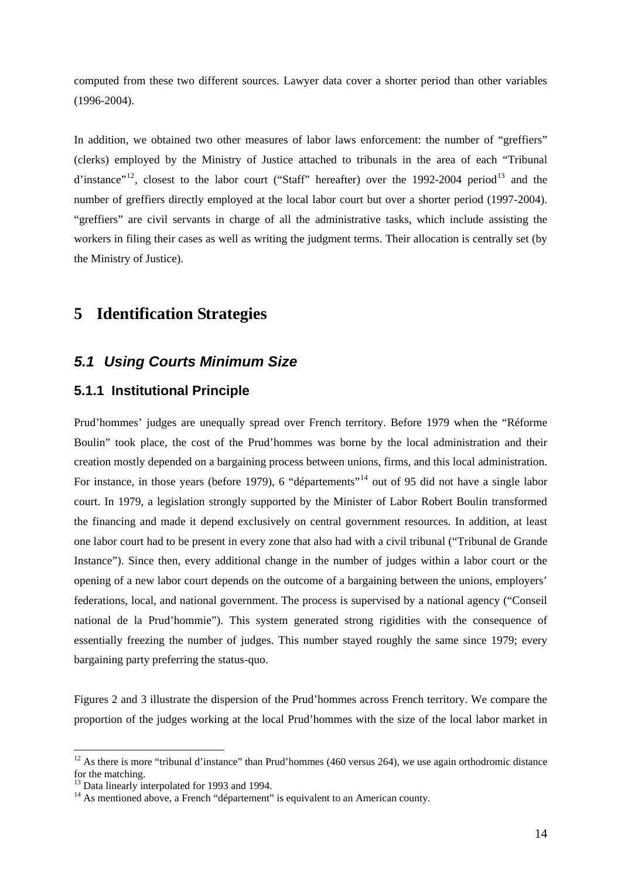<span id="page-13-0"></span>computed from these two different sources. Lawyer data cover a shorter period than other variables (1996-2004).

In addition, we obtained two other measures of labor laws enforcement: the number of "greffiers" (clerks) employed by the Ministry of Justice attached to tribunals in the area of each "Tribunal d'instance"<sup>[12](#page-13-0)</sup>, closest to the labor court ("Staff" hereafter) over the 1992-2004 period<sup>[13](#page-13-0)</sup> and the number of greffiers directly employed at the local labor court but over a shorter period (1997-2004). "greffiers" are civil servants in charge of all the administrative tasks, which include assisting the workers in filing their cases as well as writing the judgment terms. Their allocation is centrally set (by the Ministry of Justice).

# **5 Identification Strategies**

## *5.1 Using Courts Minimum Size*

### **5.1.1 Institutional Principle**

Prud'hommes' judges are unequally spread over French territory. Before 1979 when the "Réforme Boulin" took place, the cost of the Prud'hommes was borne by the local administration and their creation mostly depended on a bargaining process between unions, firms, and this local administration. For instance, in those years (before 1979), 6 "départements"<sup>[14](#page-13-0)</sup> out of 95 did not have a single labor court. In 1979, a legislation strongly supported by the Minister of Labor Robert Boulin transformed the financing and made it depend exclusively on central government resources. In addition, at least one labor court had to be present in every zone that also had with a civil tribunal ("Tribunal de Grande Instance"). Since then, every additional change in the number of judges within a labor court or the opening of a new labor court depends on the outcome of a bargaining between the unions, employers' federations, local, and national government. The process is supervised by a national agency ("Conseil national de la Prud'hommie"). This system generated strong rigidities with the consequence of essentially freezing the number of judges. This number stayed roughly the same since 1979; every bargaining party preferring the status-quo.

Figures 2 and 3 illustrate the dispersion of the Prud'hommes across French territory. We compare the proportion of the judges working at the local Prud'hommes with the size of the local labor market in

 $12$  As there is more "tribunal d'instance" than Prud'hommes (460 versus 264), we use again orthodromic distance for the matching.

<sup>&</sup>lt;sup>13</sup> Data linearly interpolated for 1993 and 1994.

 $14$  As mentioned above, a French "département" is equivalent to an American county.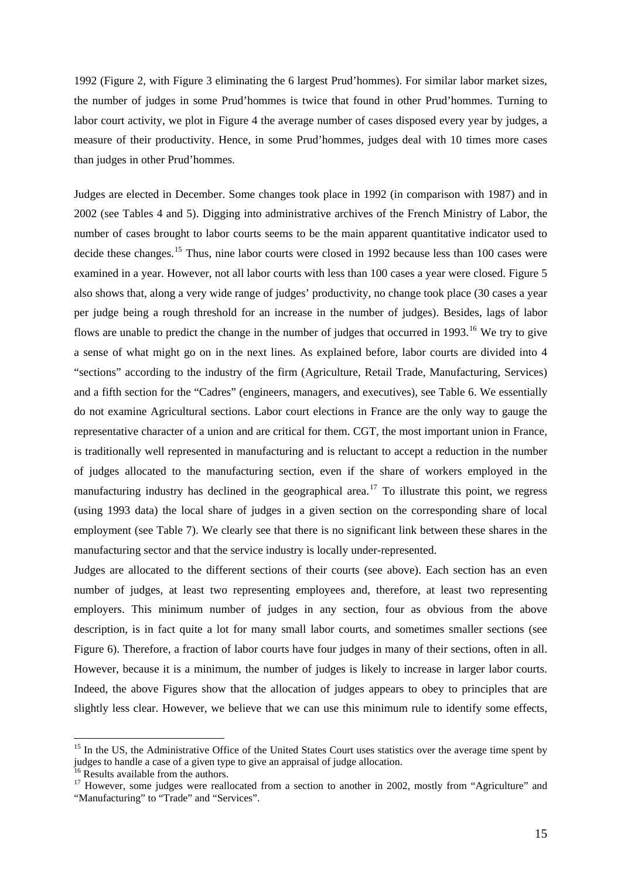<span id="page-14-0"></span>1992 (Figure 2, with Figure 3 eliminating the 6 largest Prud'hommes). For similar labor market sizes, the number of judges in some Prud'hommes is twice that found in other Prud'hommes. Turning to labor court activity, we plot in Figure 4 the average number of cases disposed every year by judges, a measure of their productivity. Hence, in some Prud'hommes, judges deal with 10 times more cases than judges in other Prud'hommes.

Judges are elected in December. Some changes took place in 1992 (in comparison with 1987) and in 2002 (see Tables 4 and 5). Digging into administrative archives of the French Ministry of Labor, the number of cases brought to labor courts seems to be the main apparent quantitative indicator used to decide these changes.<sup>[15](#page-14-0)</sup> Thus, nine labor courts were closed in 1992 because less than 100 cases were examined in a year. However, not all labor courts with less than 100 cases a year were closed. Figure 5 also shows that, along a very wide range of judges' productivity, no change took place (30 cases a year per judge being a rough threshold for an increase in the number of judges). Besides, lags of labor flows are unable to predict the change in the number of judges that occurred in 1993.<sup>[16](#page-14-0)</sup> We try to give a sense of what might go on in the next lines. As explained before, labor courts are divided into 4 "sections" according to the industry of the firm (Agriculture, Retail Trade, Manufacturing, Services) and a fifth section for the "Cadres" (engineers, managers, and executives), see Table 6. We essentially do not examine Agricultural sections. Labor court elections in France are the only way to gauge the representative character of a union and are critical for them. CGT, the most important union in France, is traditionally well represented in manufacturing and is reluctant to accept a reduction in the number of judges allocated to the manufacturing section, even if the share of workers employed in the manufacturing industry has declined in the geographical area.<sup>[17](#page-14-0)</sup> To illustrate this point, we regress (using 1993 data) the local share of judges in a given section on the corresponding share of local employment (see Table 7). We clearly see that there is no significant link between these shares in the manufacturing sector and that the service industry is locally under-represented.

Judges are allocated to the different sections of their courts (see above). Each section has an even number of judges, at least two representing employees and, therefore, at least two representing employers. This minimum number of judges in any section, four as obvious from the above description, is in fact quite a lot for many small labor courts, and sometimes smaller sections (see Figure 6). Therefore, a fraction of labor courts have four judges in many of their sections, often in all. However, because it is a minimum, the number of judges is likely to increase in larger labor courts. Indeed, the above Figures show that the allocation of judges appears to obey to principles that are slightly less clear. However, we believe that we can use this minimum rule to identify some effects,

<sup>&</sup>lt;sup>15</sup> In the US, the Administrative Office of the United States Court uses statistics over the average time spent by judges to handle a case of a given type to give an appraisal of judge allocation.

<sup>&</sup>lt;sup>16</sup> Results available from the authors.

<sup>&</sup>lt;sup>17</sup> However, some judges were reallocated from a section to another in 2002, mostly from "Agriculture" and "Manufacturing" to "Trade" and "Services".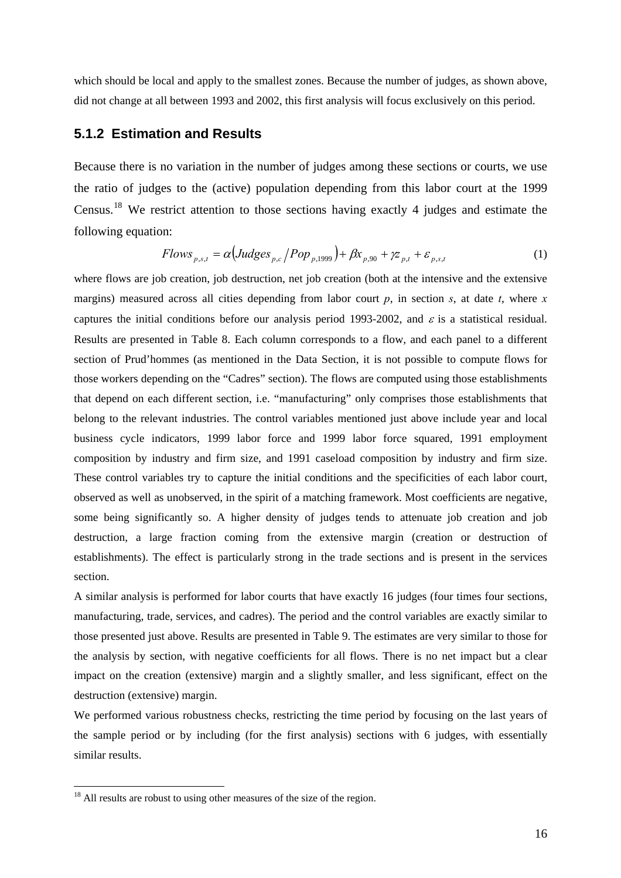<span id="page-15-0"></span>which should be local and apply to the smallest zones. Because the number of judges, as shown above, did not change at all between 1993 and 2002, this first analysis will focus exclusively on this period.

### **5.1.2 Estimation and Results**

Because there is no variation in the number of judges among these sections or courts, we use the ratio of judges to the (active) population depending from this labor court at the 1999 Census.[18](#page-15-0) We restrict attention to those sections having exactly 4 judges and estimate the following equation:

$$
Flows_{p,s,t} = \alpha \left( Judges_{p,c} / Pop_{p,1999} \right) + \beta x_{p,90} + \gamma z_{p,t} + \varepsilon_{p,s,t}
$$
 (1)

where flows are job creation, job destruction, net job creation (both at the intensive and the extensive margins) measured across all cities depending from labor court  $p$ , in section  $s$ , at date  $t$ , where  $x$ captures the initial conditions before our analysis period 1993-2002, and  $\varepsilon$  is a statistical residual. Results are presented in Table 8. Each column corresponds to a flow, and each panel to a different section of Prud'hommes (as mentioned in the Data Section, it is not possible to compute flows for those workers depending on the "Cadres" section). The flows are computed using those establishments that depend on each different section, i.e. "manufacturing" only comprises those establishments that belong to the relevant industries. The control variables mentioned just above include year and local business cycle indicators, 1999 labor force and 1999 labor force squared, 1991 employment composition by industry and firm size, and 1991 caseload composition by industry and firm size. These control variables try to capture the initial conditions and the specificities of each labor court, observed as well as unobserved, in the spirit of a matching framework. Most coefficients are negative, some being significantly so. A higher density of judges tends to attenuate job creation and job destruction, a large fraction coming from the extensive margin (creation or destruction of establishments). The effect is particularly strong in the trade sections and is present in the services section.

A similar analysis is performed for labor courts that have exactly 16 judges (four times four sections, manufacturing, trade, services, and cadres). The period and the control variables are exactly similar to those presented just above. Results are presented in Table 9. The estimates are very similar to those for the analysis by section, with negative coefficients for all flows. There is no net impact but a clear impact on the creation (extensive) margin and a slightly smaller, and less significant, effect on the destruction (extensive) margin.

We performed various robustness checks, restricting the time period by focusing on the last years of the sample period or by including (for the first analysis) sections with 6 judges, with essentially similar results.

<sup>&</sup>lt;sup>18</sup> All results are robust to using other measures of the size of the region.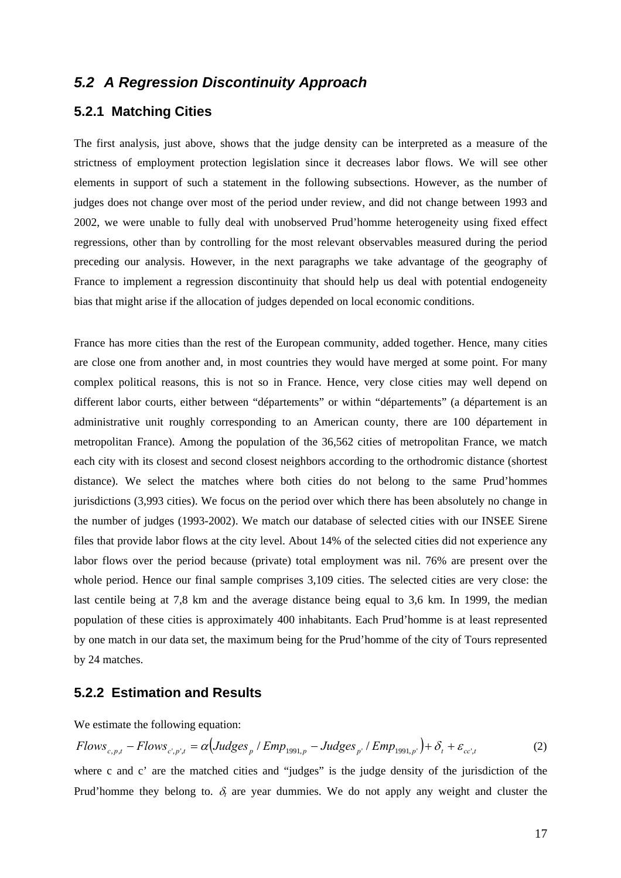## *5.2 A Regression Discontinuity Approach*

## **5.2.1 Matching Cities**

The first analysis, just above, shows that the judge density can be interpreted as a measure of the strictness of employment protection legislation since it decreases labor flows. We will see other elements in support of such a statement in the following subsections. However, as the number of judges does not change over most of the period under review, and did not change between 1993 and 2002, we were unable to fully deal with unobserved Prud'homme heterogeneity using fixed effect regressions, other than by controlling for the most relevant observables measured during the period preceding our analysis. However, in the next paragraphs we take advantage of the geography of France to implement a regression discontinuity that should help us deal with potential endogeneity bias that might arise if the allocation of judges depended on local economic conditions.

France has more cities than the rest of the European community, added together. Hence, many cities are close one from another and, in most countries they would have merged at some point. For many complex political reasons, this is not so in France. Hence, very close cities may well depend on different labor courts, either between "départements" or within "départements" (a département is an administrative unit roughly corresponding to an American county, there are 100 département in metropolitan France). Among the population of the 36,562 cities of metropolitan France, we match each city with its closest and second closest neighbors according to the orthodromic distance (shortest distance). We select the matches where both cities do not belong to the same Prud'hommes jurisdictions (3,993 cities). We focus on the period over which there has been absolutely no change in the number of judges (1993-2002). We match our database of selected cities with our INSEE Sirene files that provide labor flows at the city level. About 14% of the selected cities did not experience any labor flows over the period because (private) total employment was nil. 76% are present over the whole period. Hence our final sample comprises 3,109 cities. The selected cities are very close: the last centile being at 7,8 km and the average distance being equal to 3,6 km. In 1999, the median population of these cities is approximately 400 inhabitants. Each Prud'homme is at least represented by one match in our data set, the maximum being for the Prud'homme of the city of Tours represented by 24 matches.

### **5.2.2 Estimation and Results**

We estimate the following equation:

$$
Flows_{c,p,t} - Flows_{c',p',t} = \alpha \left( Judges_{p} / Emp_{1991,p} - Judges_{p'} / Emp_{1991,p'} \right) + \delta_{t} + \varepsilon_{cc',t}
$$
 (2)

where c and c' are the matched cities and "judges" is the judge density of the jurisdiction of the Prud'homme they belong to.  $\delta_t$  are year dummies. We do not apply any weight and cluster the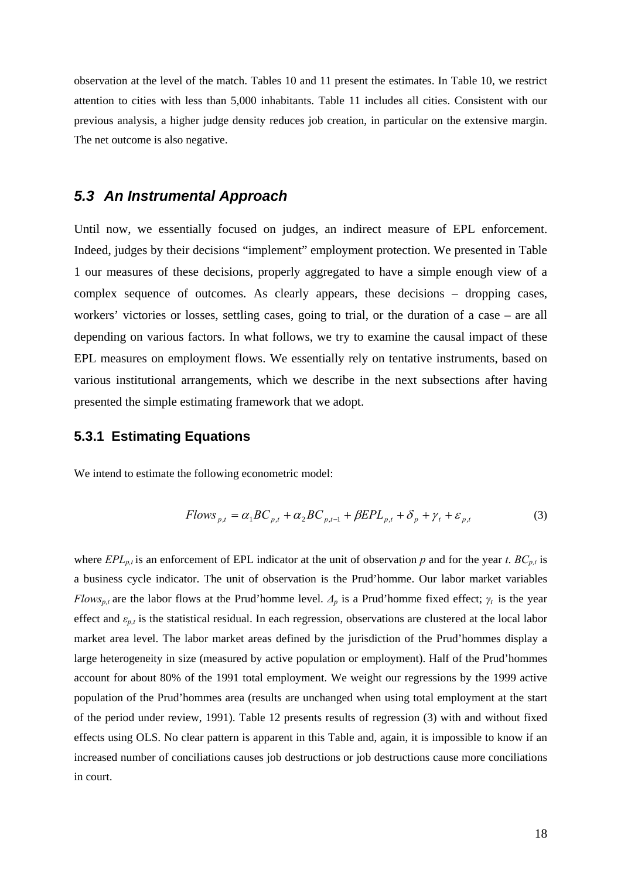observation at the level of the match. Tables 10 and 11 present the estimates. In Table 10, we restrict attention to cities with less than 5,000 inhabitants. Table 11 includes all cities. Consistent with our previous analysis, a higher judge density reduces job creation, in particular on the extensive margin. The net outcome is also negative.

## *5.3 An Instrumental Approach*

Until now, we essentially focused on judges, an indirect measure of EPL enforcement. Indeed, judges by their decisions "implement" employment protection. We presented in Table 1 our measures of these decisions, properly aggregated to have a simple enough view of a complex sequence of outcomes. As clearly appears, these decisions – dropping cases, workers' victories or losses, settling cases, going to trial, or the duration of a case – are all depending on various factors. In what follows, we try to examine the causal impact of these EPL measures on employment flows. We essentially rely on tentative instruments, based on various institutional arrangements, which we describe in the next subsections after having presented the simple estimating framework that we adopt.

### **5.3.1 Estimating Equations**

We intend to estimate the following econometric model:

$$
Flows_{p,t} = \alpha_1 BC_{p,t} + \alpha_2 BC_{p,t-1} + \beta EPL_{p,t} + \delta_p + \gamma_t + \varepsilon_{p,t}
$$
 (3)

where  $EPL_{p,t}$  is an enforcement of EPL indicator at the unit of observation *p* and for the year *t*.  $BC_{p,t}$  is a business cycle indicator. The unit of observation is the Prud'homme. Our labor market variables *Flows<sub>p,t</sub>* are the labor flows at the Prud'homme level.  $\Delta_p$  is a Prud'homme fixed effect;  $\gamma_t$  is the year effect and *εp,t* is the statistical residual. In each regression, observations are clustered at the local labor market area level. The labor market areas defined by the jurisdiction of the Prud'hommes display a large heterogeneity in size (measured by active population or employment). Half of the Prud'hommes account for about 80% of the 1991 total employment. We weight our regressions by the 1999 active population of the Prud'hommes area (results are unchanged when using total employment at the start of the period under review, 1991). Table 12 presents results of regression (3) with and without fixed effects using OLS. No clear pattern is apparent in this Table and, again, it is impossible to know if an increased number of conciliations causes job destructions or job destructions cause more conciliations in court.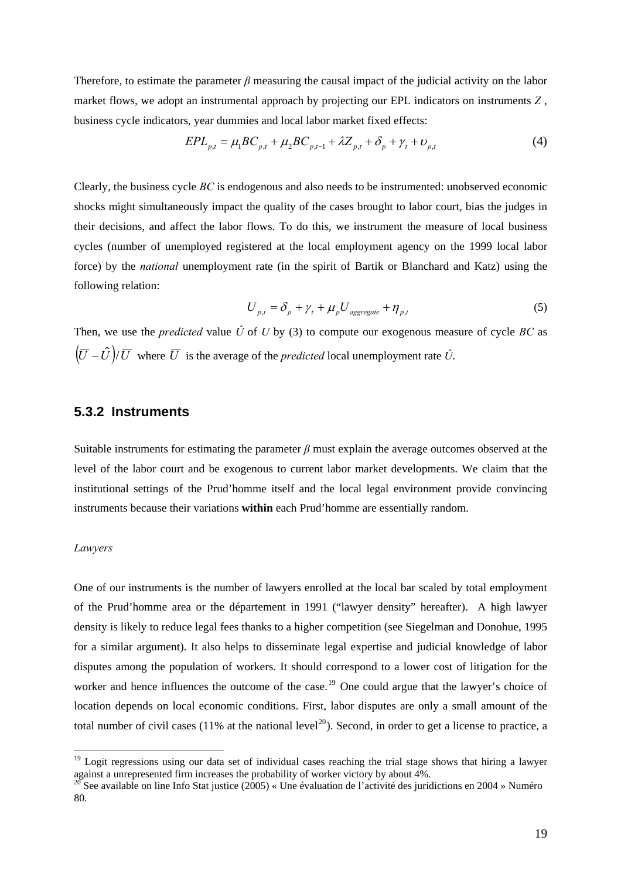<span id="page-18-0"></span>Therefore, to estimate the parameter  $\beta$  measuring the causal impact of the judicial activity on the labor market flows, we adopt an instrumental approach by projecting our EPL indicators on instruments *Z* , business cycle indicators, year dummies and local labor market fixed effects:

$$
EPL_{p,t} = \mu_1 BC_{p,t} + \mu_2 BC_{p,t-1} + \lambda Z_{p,t} + \delta_p + \gamma_t + \nu_{p,t}
$$
 (4)

Clearly, the business cycle *BC* is endogenous and also needs to be instrumented: unobserved economic shocks might simultaneously impact the quality of the cases brought to labor court, bias the judges in their decisions, and affect the labor flows. To do this, we instrument the measure of local business cycles (number of unemployed registered at the local employment agency on the 1999 local labor force) by the *national* unemployment rate (in the spirit of Bartik or Blanchard and Katz) using the following relation:

$$
U_{p,t} = \delta_p + \gamma_t + \mu_p U_{\text{aggregate}} + \eta_{p,t} \tag{5}
$$

Then, we use the *predicted* value  $\hat{U}$  of  $U$  by (3) to compute our exogenous measure of cycle  $BC$  as  $(\overline{U} - \hat{U})/\overline{U}$  where  $\overline{U}$  is the average of the *predicted* local unemployment rate  $\hat{U}$ .

#### **5.3.2 Instruments**

Suitable instruments for estimating the parameter  $\beta$  must explain the average outcomes observed at the level of the labor court and be exogenous to current labor market developments. We claim that the institutional settings of the Prud'homme itself and the local legal environment provide convincing instruments because their variations **within** each Prud'homme are essentially random.

#### *Lawyers*

 $\overline{a}$ 

One of our instruments is the number of lawyers enrolled at the local bar scaled by total employment of the Prud'homme area or the département in 1991 ("lawyer density" hereafter). A high lawyer density is likely to reduce legal fees thanks to a higher competition (see Siegelman and Donohue, 1995 for a similar argument). It also helps to disseminate legal expertise and judicial knowledge of labor disputes among the population of workers. It should correspond to a lower cost of litigation for the worker and hence influences the outcome of the case.<sup>[19](#page-18-0)</sup> One could argue that the lawyer's choice of location depends on local economic conditions. First, labor disputes are only a small amount of the total number of civil cases (11% at the national level<sup>[20](#page-18-0)</sup>). Second, in order to get a license to practice, a

<sup>&</sup>lt;sup>19</sup> Logit regressions using our data set of individual cases reaching the trial stage shows that hiring a lawyer against a unrepresented firm increases the probability of worker victory by about 4%.

<sup>&</sup>lt;sup>0</sup> See available on line Info Stat justice (2005) « Une évaluation de l'activité des juridictions en 2004 » Numéro 80.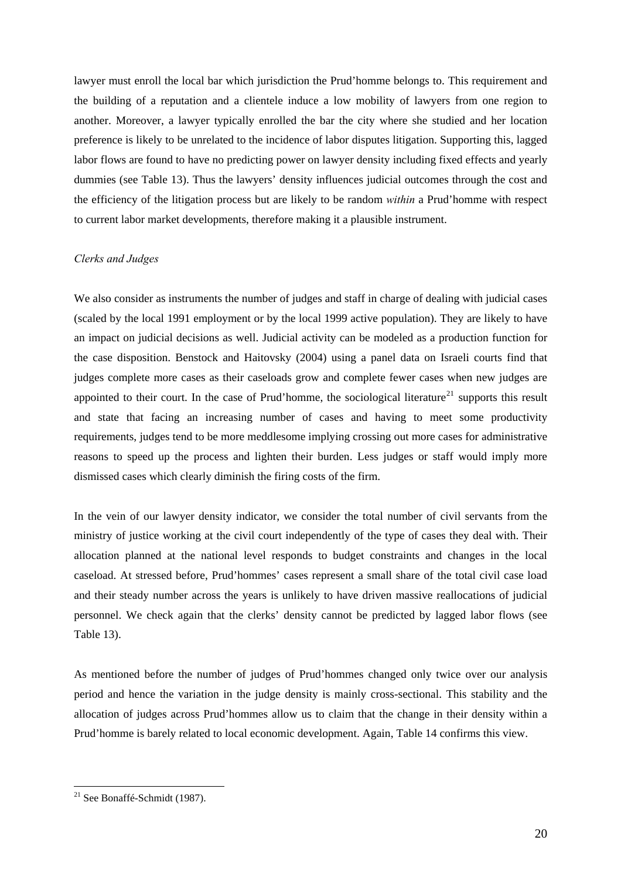<span id="page-19-0"></span>lawyer must enroll the local bar which jurisdiction the Prud'homme belongs to. This requirement and the building of a reputation and a clientele induce a low mobility of lawyers from one region to another. Moreover, a lawyer typically enrolled the bar the city where she studied and her location preference is likely to be unrelated to the incidence of labor disputes litigation. Supporting this, lagged labor flows are found to have no predicting power on lawyer density including fixed effects and yearly dummies (see Table 13). Thus the lawyers' density influences judicial outcomes through the cost and the efficiency of the litigation process but are likely to be random *within* a Prud'homme with respect to current labor market developments, therefore making it a plausible instrument.

#### *Clerks and Judges*

We also consider as instruments the number of judges and staff in charge of dealing with judicial cases (scaled by the local 1991 employment or by the local 1999 active population). They are likely to have an impact on judicial decisions as well. Judicial activity can be modeled as a production function for the case disposition. Benstock and Haitovsky (2004) using a panel data on Israeli courts find that judges complete more cases as their caseloads grow and complete fewer cases when new judges are appointed to their court. In the case of Prud'homme, the sociological literature<sup>[21](#page-19-0)</sup> supports this result and state that facing an increasing number of cases and having to meet some productivity requirements, judges tend to be more meddlesome implying crossing out more cases for administrative reasons to speed up the process and lighten their burden. Less judges or staff would imply more dismissed cases which clearly diminish the firing costs of the firm.

In the vein of our lawyer density indicator, we consider the total number of civil servants from the ministry of justice working at the civil court independently of the type of cases they deal with. Their allocation planned at the national level responds to budget constraints and changes in the local caseload. At stressed before, Prud'hommes' cases represent a small share of the total civil case load and their steady number across the years is unlikely to have driven massive reallocations of judicial personnel. We check again that the clerks' density cannot be predicted by lagged labor flows (see Table 13).

As mentioned before the number of judges of Prud'hommes changed only twice over our analysis period and hence the variation in the judge density is mainly cross-sectional. This stability and the allocation of judges across Prud'hommes allow us to claim that the change in their density within a Prud'homme is barely related to local economic development. Again, Table 14 confirms this view.

 $21$  See Bonaffé-Schmidt (1987).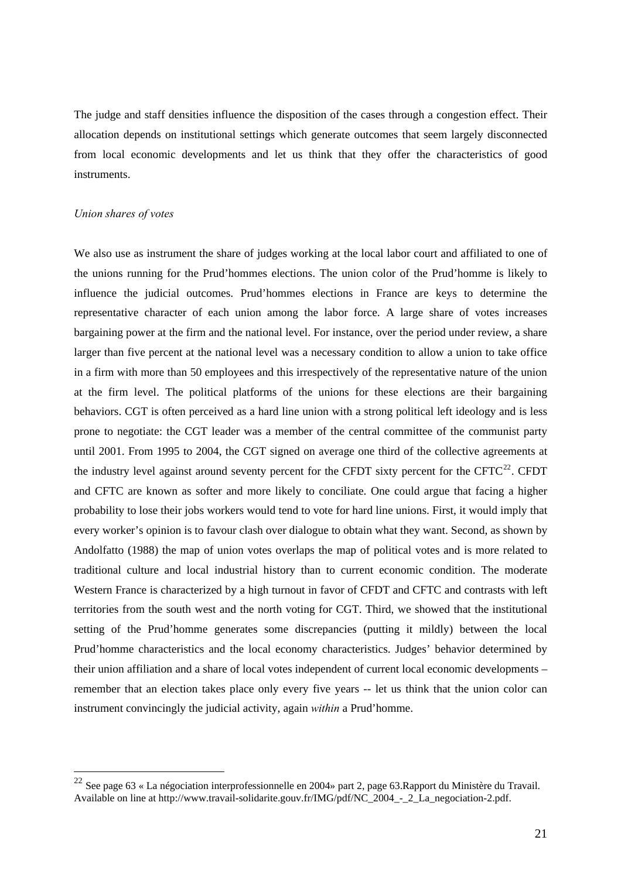<span id="page-20-0"></span>The judge and staff densities influence the disposition of the cases through a congestion effect. Their allocation depends on institutional settings which generate outcomes that seem largely disconnected from local economic developments and let us think that they offer the characteristics of good instruments.

#### *Union shares of votes*

 $\overline{a}$ 

We also use as instrument the share of judges working at the local labor court and affiliated to one of the unions running for the Prud'hommes elections. The union color of the Prud'homme is likely to influence the judicial outcomes. Prud'hommes elections in France are keys to determine the representative character of each union among the labor force. A large share of votes increases bargaining power at the firm and the national level. For instance, over the period under review, a share larger than five percent at the national level was a necessary condition to allow a union to take office in a firm with more than 50 employees and this irrespectively of the representative nature of the union at the firm level. The political platforms of the unions for these elections are their bargaining behaviors. CGT is often perceived as a hard line union with a strong political left ideology and is less prone to negotiate: the CGT leader was a member of the central committee of the communist party until 2001. From 1995 to 2004, the CGT signed on average one third of the collective agreements at the industry level against around seventy percent for the CFDT sixty percent for the CFTC<sup>[22](#page-20-0)</sup>. CFDT and CFTC are known as softer and more likely to conciliate. One could argue that facing a higher probability to lose their jobs workers would tend to vote for hard line unions. First, it would imply that every worker's opinion is to favour clash over dialogue to obtain what they want. Second, as shown by Andolfatto (1988) the map of union votes overlaps the map of political votes and is more related to traditional culture and local industrial history than to current economic condition. The moderate Western France is characterized by a high turnout in favor of CFDT and CFTC and contrasts with left territories from the south west and the north voting for CGT. Third, we showed that the institutional setting of the Prud'homme generates some discrepancies (putting it mildly) between the local Prud'homme characteristics and the local economy characteristics. Judges' behavior determined by their union affiliation and a share of local votes independent of current local economic developments – remember that an election takes place only every five years -- let us think that the union color can instrument convincingly the judicial activity, again *within* a Prud'homme.

<sup>&</sup>lt;sup>22</sup> See page 63 « La négociation interprofessionnelle en 2004» part 2, page 63. Rapport du Ministère du Travail. Available on line at http://www.travail-solidarite.gouv.fr/IMG/pdf/NC\_2004\_-\_2\_La\_negociation-2.pdf.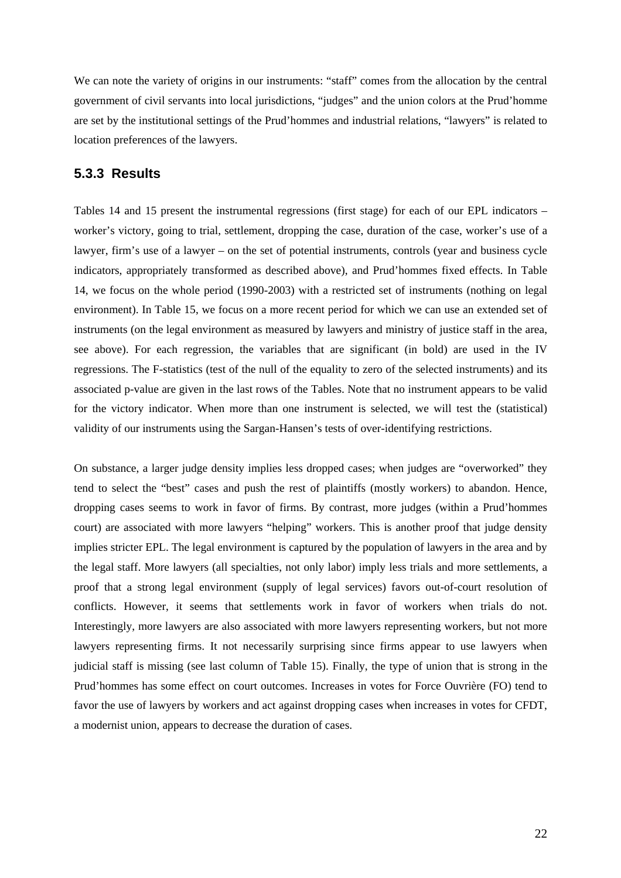We can note the variety of origins in our instruments: "staff" comes from the allocation by the central government of civil servants into local jurisdictions, "judges" and the union colors at the Prud'homme are set by the institutional settings of the Prud'hommes and industrial relations, "lawyers" is related to location preferences of the lawyers.

#### **5.3.3 Results**

Tables 14 and 15 present the instrumental regressions (first stage) for each of our EPL indicators – worker's victory, going to trial, settlement, dropping the case, duration of the case, worker's use of a lawyer, firm's use of a lawyer – on the set of potential instruments, controls (year and business cycle indicators, appropriately transformed as described above), and Prud'hommes fixed effects. In Table 14, we focus on the whole period (1990-2003) with a restricted set of instruments (nothing on legal environment). In Table 15, we focus on a more recent period for which we can use an extended set of instruments (on the legal environment as measured by lawyers and ministry of justice staff in the area, see above). For each regression, the variables that are significant (in bold) are used in the IV regressions. The F-statistics (test of the null of the equality to zero of the selected instruments) and its associated p-value are given in the last rows of the Tables. Note that no instrument appears to be valid for the victory indicator. When more than one instrument is selected, we will test the (statistical) validity of our instruments using the Sargan-Hansen's tests of over-identifying restrictions.

On substance, a larger judge density implies less dropped cases; when judges are "overworked" they tend to select the "best" cases and push the rest of plaintiffs (mostly workers) to abandon. Hence, dropping cases seems to work in favor of firms. By contrast, more judges (within a Prud'hommes court) are associated with more lawyers "helping" workers. This is another proof that judge density implies stricter EPL. The legal environment is captured by the population of lawyers in the area and by the legal staff. More lawyers (all specialties, not only labor) imply less trials and more settlements, a proof that a strong legal environment (supply of legal services) favors out-of-court resolution of conflicts. However, it seems that settlements work in favor of workers when trials do not. Interestingly, more lawyers are also associated with more lawyers representing workers, but not more lawyers representing firms. It not necessarily surprising since firms appear to use lawyers when judicial staff is missing (see last column of Table 15). Finally, the type of union that is strong in the Prud'hommes has some effect on court outcomes. Increases in votes for Force Ouvrière (FO) tend to favor the use of lawyers by workers and act against dropping cases when increases in votes for CFDT, a modernist union, appears to decrease the duration of cases.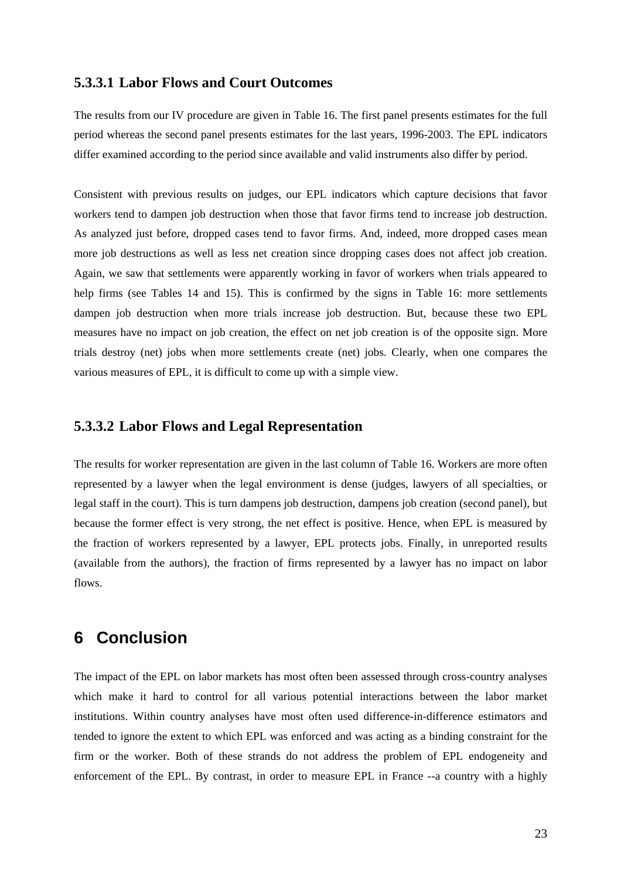### **5.3.3.1 Labor Flows and Court Outcomes**

The results from our IV procedure are given in Table 16. The first panel presents estimates for the full period whereas the second panel presents estimates for the last years, 1996-2003. The EPL indicators differ examined according to the period since available and valid instruments also differ by period.

Consistent with previous results on judges, our EPL indicators which capture decisions that favor workers tend to dampen job destruction when those that favor firms tend to increase job destruction. As analyzed just before, dropped cases tend to favor firms. And, indeed, more dropped cases mean more job destructions as well as less net creation since dropping cases does not affect job creation. Again, we saw that settlements were apparently working in favor of workers when trials appeared to help firms (see Tables 14 and 15). This is confirmed by the signs in Table 16: more settlements dampen job destruction when more trials increase job destruction. But, because these two EPL measures have no impact on job creation, the effect on net job creation is of the opposite sign. More trials destroy (net) jobs when more settlements create (net) jobs. Clearly, when one compares the various measures of EPL, it is difficult to come up with a simple view.

### **5.3.3.2 Labor Flows and Legal Representation**

The results for worker representation are given in the last column of Table 16. Workers are more often represented by a lawyer when the legal environment is dense (judges, lawyers of all specialties, or legal staff in the court). This is turn dampens job destruction, dampens job creation (second panel), but because the former effect is very strong, the net effect is positive. Hence, when EPL is measured by the fraction of workers represented by a lawyer, EPL protects jobs. Finally, in unreported results (available from the authors), the fraction of firms represented by a lawyer has no impact on labor flows.

# **6 Conclusion**

The impact of the EPL on labor markets has most often been assessed through cross-country analyses which make it hard to control for all various potential interactions between the labor market institutions. Within country analyses have most often used difference-in-difference estimators and tended to ignore the extent to which EPL was enforced and was acting as a binding constraint for the firm or the worker. Both of these strands do not address the problem of EPL endogeneity and enforcement of the EPL. By contrast, in order to measure EPL in France --a country with a highly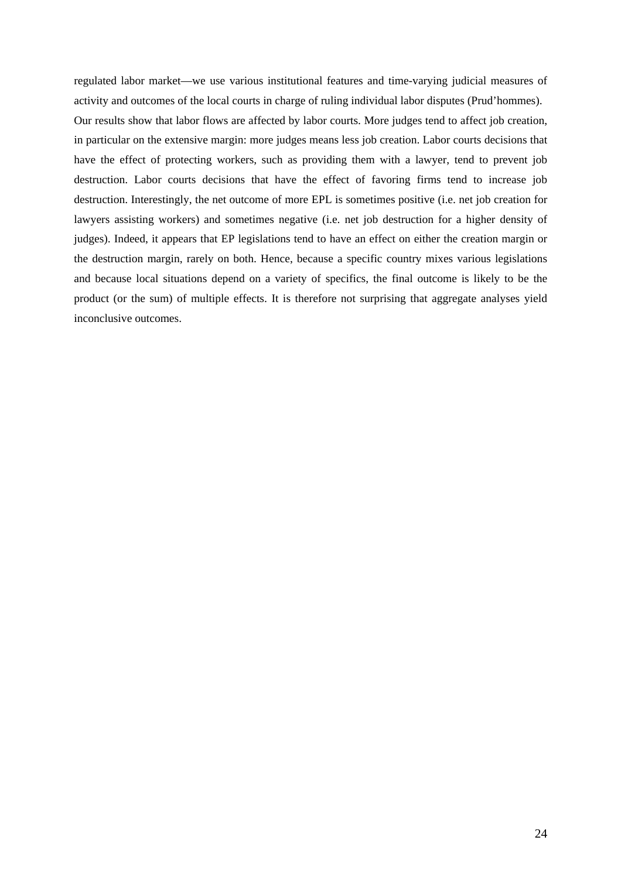regulated labor market—we use various institutional features and time-varying judicial measures of activity and outcomes of the local courts in charge of ruling individual labor disputes (Prud'hommes).

Our results show that labor flows are affected by labor courts. More judges tend to affect job creation, in particular on the extensive margin: more judges means less job creation. Labor courts decisions that have the effect of protecting workers, such as providing them with a lawyer, tend to prevent job destruction. Labor courts decisions that have the effect of favoring firms tend to increase job destruction. Interestingly, the net outcome of more EPL is sometimes positive (i.e. net job creation for lawyers assisting workers) and sometimes negative (i.e. net job destruction for a higher density of judges). Indeed, it appears that EP legislations tend to have an effect on either the creation margin or the destruction margin, rarely on both. Hence, because a specific country mixes various legislations and because local situations depend on a variety of specifics, the final outcome is likely to be the product (or the sum) of multiple effects. It is therefore not surprising that aggregate analyses yield inconclusive outcomes.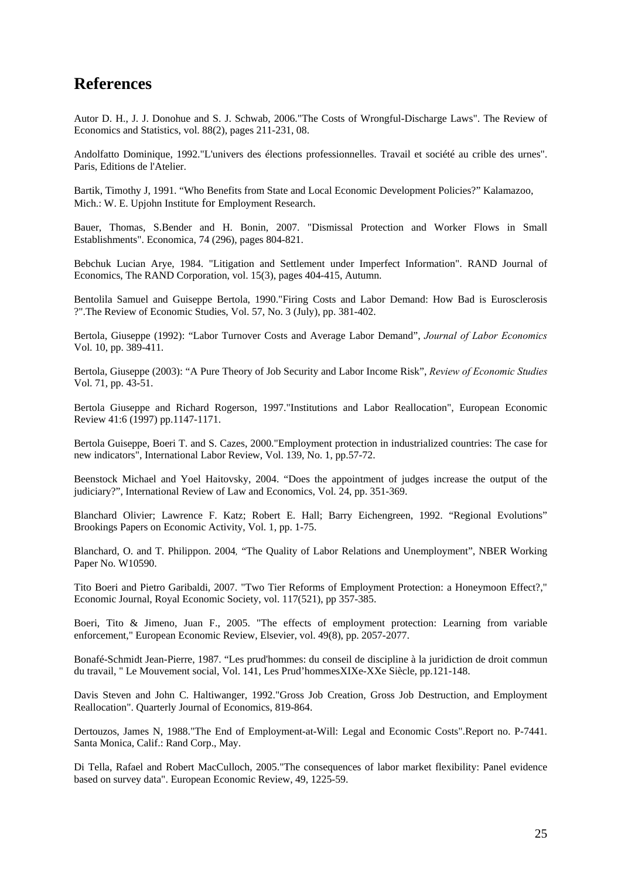# **References**

Autor D. H., J. J. Donohue and S. J. Schwab, 2006."The Costs of Wrongful-Discharge Laws". The Review of Economics and Statistics, vol. 88(2), pages 211-231, 08.

Andolfatto Dominique, 1992."L'univers des élections professionnelles. Travail et société au crible des urnes". Paris, Editions de l'Atelier.

Bartik, Timothy J, 1991. "Who Benefits from State and Local Economic Development Policies?" Kalamazoo, Mich.: W. E. Upjohn Institute for Employment Research.

Bauer, Thomas, S.Bender and H. Bonin, 2007. "Dismissal Protection and Worker Flows in Small Establishments". Economica, 74 (296), pages 804-821.

Bebchuk Lucian Arye, 1984. "Litigation and Settlement under Imperfect Information". RAND Journal of Economics, The RAND Corporation, vol. 15(3), pages 404-415, Autumn.

Bentolila Samuel and Guiseppe Bertola, 1990."Firing Costs and Labor Demand: How Bad is Eurosclerosis ?".The Review of Economic Studies, Vol. 57, No. 3 (July), pp. 381-402.

Bertola, Giuseppe (1992): "Labor Turnover Costs and Average Labor Demand", *Journal of Labor Economics*  Vol. 10, pp. 389-411.

Bertola, Giuseppe (2003): "A Pure Theory of Job Security and Labor Income Risk", *Review of Economic Studies*  Vol. 71, pp. 43-51.

Bertola Giuseppe and Richard Rogerson, 1997."Institutions and Labor Reallocation", European Economic Review 41:6 (1997) pp.1147-1171.

Bertola Guiseppe, Boeri T. and S. Cazes, 2000."Employment protection in industrialized countries: The case for new indicators", International Labor Review, Vol. 139, No. 1, pp.57-72.

Beenstock Michael and Yoel Haitovsky, 2004. "Does the appointment of judges increase the output of the judiciary?", International Review of Law and Economics, Vol. 24, pp. 351-369.

Blanchard Olivier; Lawrence F. Katz; Robert E. Hall; Barry Eichengreen, 1992. "Regional Evolutions" Brookings Papers on Economic Activity, Vol. 1, pp. 1-75.

Blanchard, O. and T. Philippon. 2004*,* "The Quality of Labor Relations and Unemployment", NBER Working Paper No. W10590.

Tito Boeri and Pietro Garibaldi, 2007. "Two Tier Reforms of Employment Protection: a Honeymoon Effect?," Economic Journal, Royal Economic Society, vol. 117(521), pp 357-385.

Boeri, Tito & Jimeno, Juan F., 2005. "[The effects of employment protection: Learning from variable](http://ideas.repec.org/a/eee/eecrev/v49y2005i8p2057-2077.html)  [enforcement,](http://ideas.repec.org/a/eee/eecrev/v49y2005i8p2057-2077.html)" [European Economic Review](http://ideas.repec.org/s/eee/eecrev.html), Elsevier, vol. 49(8), pp. 2057-2077.

Bonafé-Schmidt Jean-Pierre, 1987. "Les prud'hommes: du conseil de discipline à la juridiction de droit commun du travail, " Le Mouvement social, Vol. 141, Les Prud'hommesXIXe-XXe Siècle, pp.121-148.

Davis Steven and John C. Haltiwanger, 1992."Gross Job Creation, Gross Job Destruction, and Employment Reallocation". Quarterly Journal of Economics, 819-864.

Dertouzos, James N, 1988."The End of Employment-at-Will: Legal and Economic Costs".Report no. P-7441. Santa Monica, Calif.: Rand Corp., May.

Di Tella, Rafael and Robert MacCulloch, 2005."The consequences of labor market flexibility: Panel evidence based on survey data". European Economic Review, 49, 1225-59.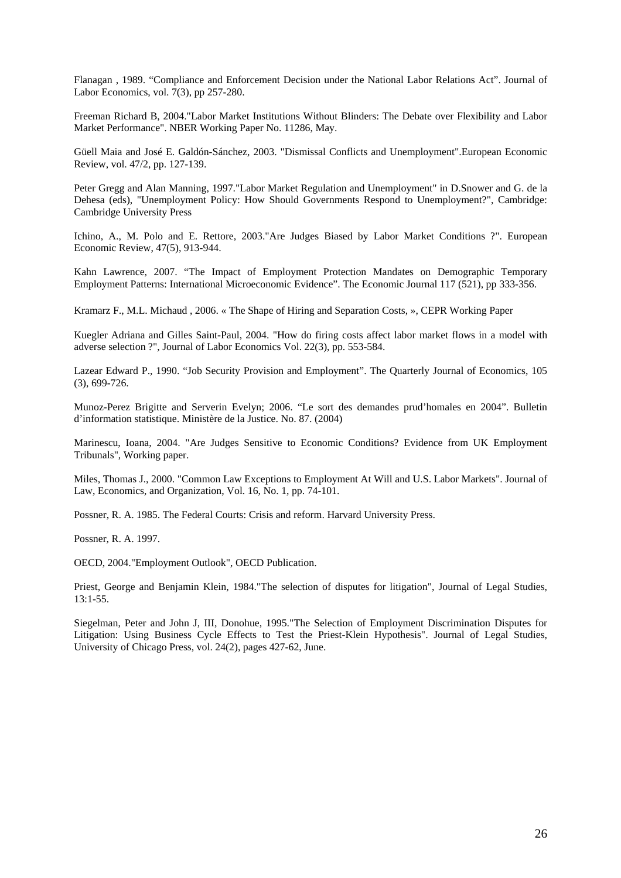Flanagan , 1989. "Compliance and Enforcement Decision under the National Labor Relations Act". Journal of Labor Economics, vol. 7(3), pp 257-280.

Freeman Richard B, 2004."Labor Market Institutions Without Blinders: The Debate over Flexibility and Labor Market Performance". NBER Working Paper No. 11286, May.

Güell Maia and José E. Galdón-Sánchez, 2003. "Dismissal Conflicts and Unemployment".European Economic Review, vol. 47/2, pp. 127-139.

Peter Gregg and Alan Manning, 1997."Labor Market Regulation and Unemployment" in D.Snower and G. de la Dehesa (eds), "Unemployment Policy: How Should Governments Respond to Unemployment?", Cambridge: Cambridge University Press

Ichino, A., M. Polo and E. Rettore, 2003."Are Judges Biased by Labor Market Conditions ?". European Economic Review, 47(5), 913-944.

Kahn Lawrence, 2007. "The Impact of Employment Protection Mandates on Demographic Temporary Employment Patterns: International Microeconomic Evidence". The Economic Journal 117 (521), pp 333-356.

Kramarz F., M.L. Michaud , 2006. « [The Shape of Hiring and Separation Costs](http://www.crest.fr/pageperso/kramarz/dp1170.pdf), », CEPR Working Paper

Kuegler Adriana and Gilles Saint-Paul, 2004. "How do firing costs affect labor market flows in a model with adverse selection ?", Journal of Labor Economics Vol. 22(3), pp. 553-584.

Lazear Edward P., 1990. "Job Security Provision and Employment". The Quarterly Journal of Economics, 105 (3), 699-726.

Munoz-Perez Brigitte and Serverin Evelyn; 2006. "Le sort des demandes prud'homales en 2004". Bulletin d'information statistique. Ministère de la Justice. No. 87. (2004)

Marinescu, Ioana, 2004. "Are Judges Sensitive to Economic Conditions? Evidence from UK Employment Tribunals", Working paper.

Miles, Thomas J., 2000. "Common Law Exceptions to Employment At Will and U.S. Labor Markets". Journal of Law, Economics, and Organization, Vol. 16, No. 1, pp. 74-101.

Possner, R. A. 1985. The Federal Courts: Crisis and reform. Harvard University Press.

Possner, R. A. 1997.

OECD, 2004."Employment Outlook", OECD Publication.

Priest, George and Benjamin Klein, 1984."The selection of disputes for litigation", Journal of Legal Studies,  $13:1-55.$ 

Siegelman, Peter and John J, III, Donohue, 1995."The Selection of Employment Discrimination Disputes for Litigation: Using Business Cycle Effects to Test the Priest-Klein Hypothesis". Journal of Legal Studies, University of Chicago Press, vol. 24(2), pages 427-62, June.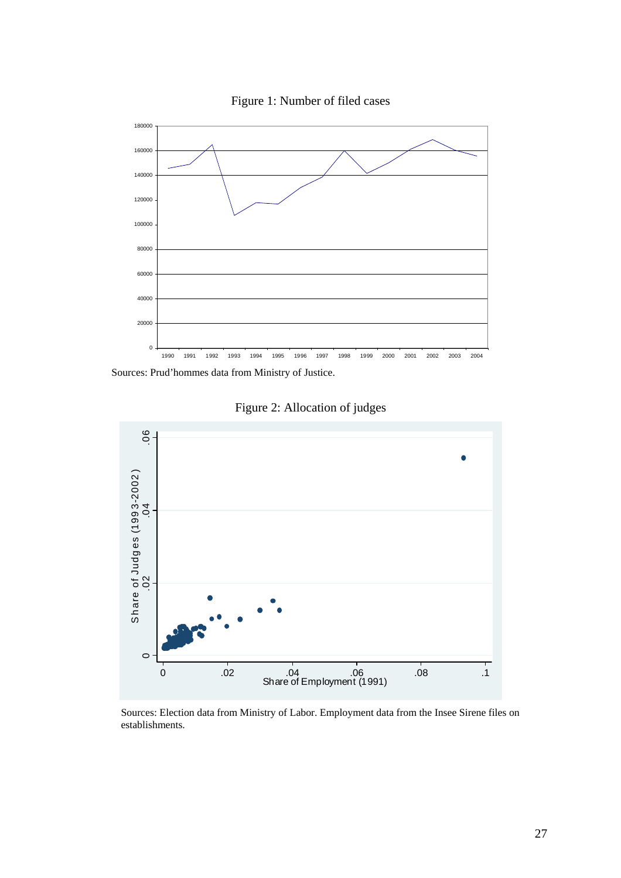

Figure 1: Number of filed cases

Sources: Prud'hommes data from Ministry of Justice.



Figure 2: Allocation of judges

Sources: Election data from Ministry of Labor. Employment data from the Insee Sirene files on establishments.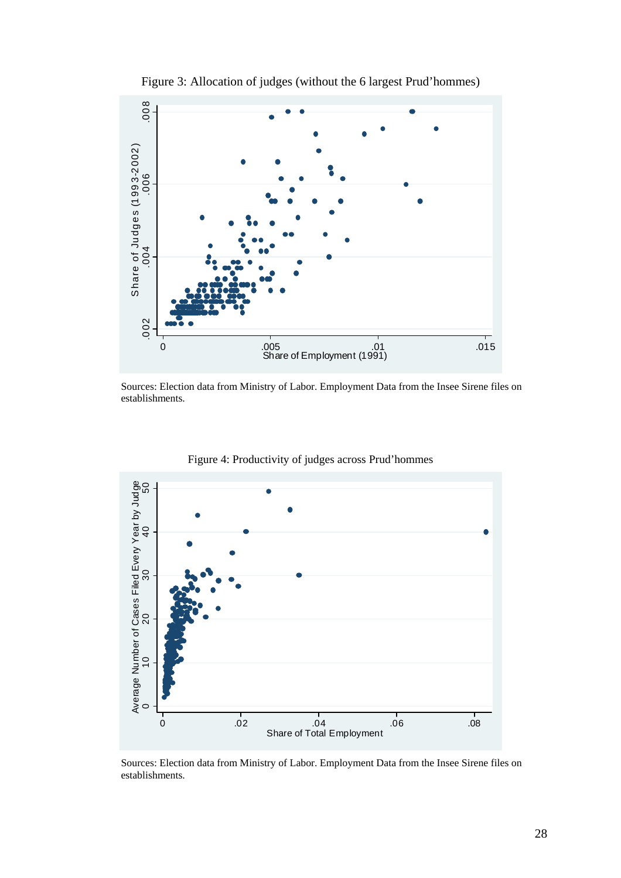

Figure 3: Allocation of judges (without the 6 largest Prud'hommes)

Sources: Election data from Ministry of Labor. Employment Data from the Insee Sirene files on establishments.



Figure 4: Productivity of judges across Prud'hommes

Sources: Election data from Ministry of Labor. Employment Data from the Insee Sirene files on establishments.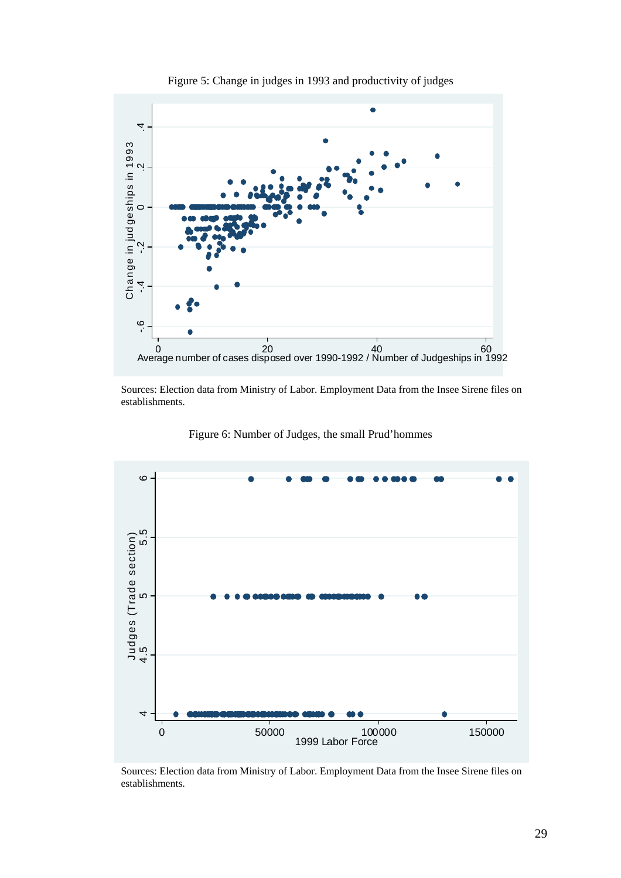

Figure 5: Change in judges in 1993 and productivity of judges

Sources: Election data from Ministry of Labor. Employment Data from the Insee Sirene files on establishments.



Figure 6: Number of Judges, the small Prud'hommes

Sources: Election data from Ministry of Labor. Employment Data from the Insee Sirene files on establishments.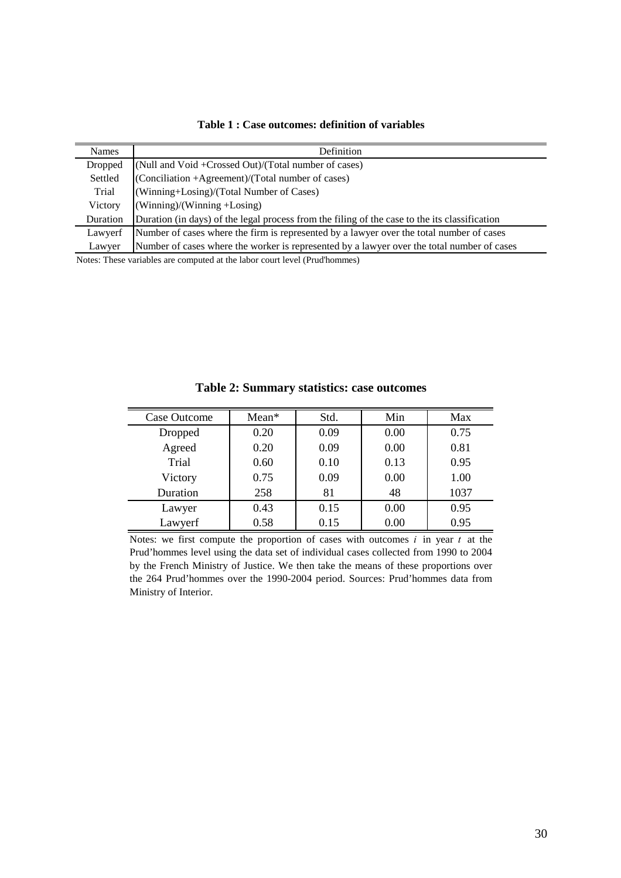| Table 1 : Case outcomes: definition of variables |  |  |
|--------------------------------------------------|--|--|
|--------------------------------------------------|--|--|

| Names    | Definition                                                                                    |
|----------|-----------------------------------------------------------------------------------------------|
| Dropped  | (Null and Void +Crossed Out)/(Total number of cases)                                          |
| Settled  | (Conciliation +Agreement)/(Total number of cases)                                             |
| Trial    | (Winning+Losing)/(Total Number of Cases)                                                      |
| Victory  | $(Winning)/(Winning +Losing)$                                                                 |
| Duration | Duration (in days) of the legal process from the filing of the case to the its classification |
| Lawyerf  | Number of cases where the firm is represented by a lawyer over the total number of cases      |
| Lawyer   | Number of cases where the worker is represented by a lawyer over the total number of cases    |

Notes: These variables are computed at the labor court level (Prud'hommes)

| Case Outcome | $Mean*$ | Std. | Min  | Max  |
|--------------|---------|------|------|------|
| Dropped      | 0.20    | 0.09 | 0.00 | 0.75 |
| Agreed       | 0.20    | 0.09 | 0.00 | 0.81 |
| Trial        | 0.60    | 0.10 | 0.13 | 0.95 |
| Victory      | 0.75    | 0.09 | 0.00 | 1.00 |
| Duration     | 258     | 81   | 48   | 1037 |
| Lawyer       | 0.43    | 0.15 | 0.00 | 0.95 |
| Lawyerf      | 0.58    | 0.15 | 0.00 | 0.95 |

**Table 2: Summary statistics: case outcomes**

Notes: we first compute the proportion of cases with outcomes *i* in year *t* at the Prud'hommes level using the data set of individual cases collected from 1990 to 2004 by the French Ministry of Justice. We then take the means of these proportions over the 264 Prud'hommes over the 1990-2004 period. Sources: Prud'hommes data from Ministry of Interior.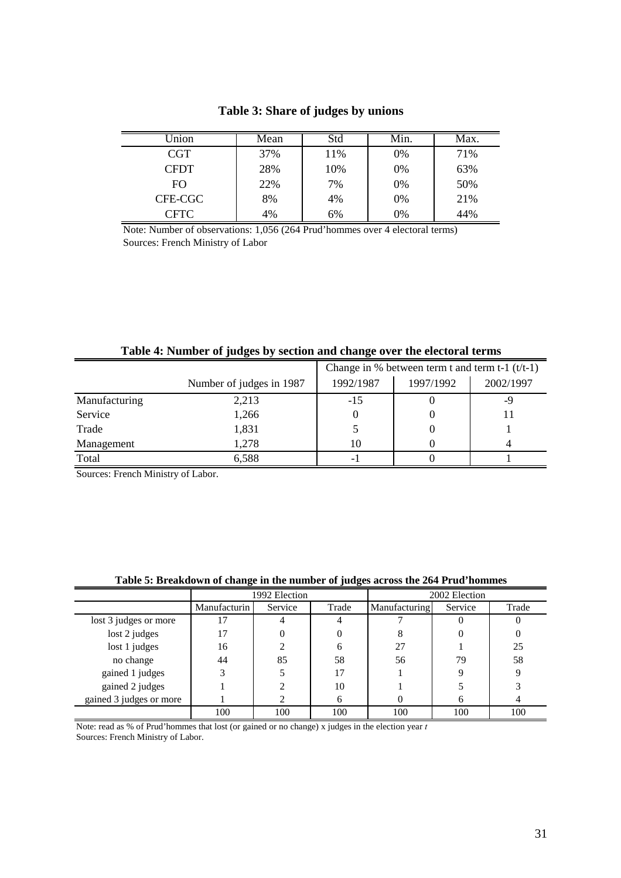| Jnion      | Mean | Std | Min. | Max. |
|------------|------|-----|------|------|
| <b>CGT</b> | 37%  | 11% | 0%   | 71%  |
| CFDT       | 28%  | 10% | 0%   | 63%  |
| FO.        | 22%  | 7%  | 0%   | 50%  |
| CFE-CGC    | 8%   | 4%  | 0%   | 21%  |
| CFTC       | 4%   | 6%  | 0%   | 44%  |

## **Table 3: Share of judges by unions**

Note: Number of observations: 1,056 (264 Prud'hommes over 4 electoral terms) Sources: French Ministry of Labor

|               |                          | Change in % between term t and term t-1 $(t/t-1)$ |           |           |  |
|---------------|--------------------------|---------------------------------------------------|-----------|-----------|--|
|               | Number of judges in 1987 | 1992/1987                                         | 1997/1992 | 2002/1997 |  |
| Manufacturing | 2,213                    | $-15$                                             |           | -9        |  |
| Service       | 1,266                    |                                                   |           |           |  |
| Trade         | 1,831                    |                                                   |           |           |  |
| Management    | 1.278                    | 10                                                |           |           |  |
| Total         | 6,588                    |                                                   |           |           |  |

## **Table 4: Number of judges by section and change over the electoral terms**

Sources: French Ministry of Labor.

| Table 5: Breakdown of change in the number of judges across the 264 Prud'hommes |  |  |  |
|---------------------------------------------------------------------------------|--|--|--|
|---------------------------------------------------------------------------------|--|--|--|

|                         | 1992 Election |         |       | 2002 Election |         |       |
|-------------------------|---------------|---------|-------|---------------|---------|-------|
|                         | Manufacturin  | Service | Trade | Manufacturing | Service | Trade |
| lost 3 judges or more   | 17            |         |       |               |         |       |
| lost 2 judges           | 17            |         |       |               |         |       |
| lost 1 judges           | 16            |         | h     | 27            |         | 25    |
| no change               | 44            | 85      | 58    | 56            | 79      | 58    |
| gained 1 judges         |               |         | 17    |               |         |       |
| gained 2 judges         |               |         | 10    |               |         |       |
| gained 3 judges or more |               |         | h     |               |         |       |
|                         | 100           | 100     | 100   | 100           | 100     | 100   |

Sources: French Ministry of Labor. Note: read as % of Prud'hommes that lost (or gained or no change) x judges in the election year *t*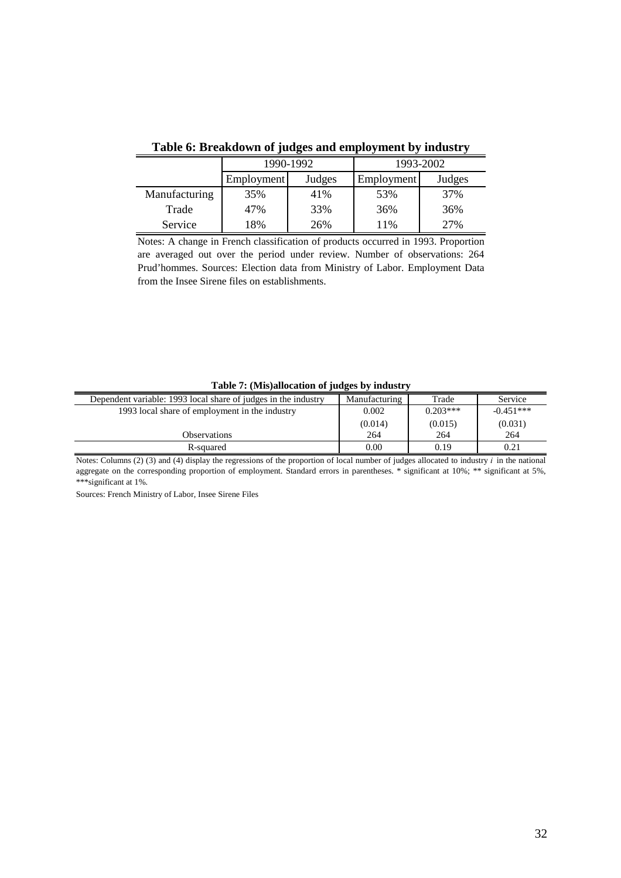| Tuble of Dreamab will be judged and employment by manoiry |            |           |            |           |  |  |  |
|-----------------------------------------------------------|------------|-----------|------------|-----------|--|--|--|
|                                                           |            | 1990-1992 |            | 1993-2002 |  |  |  |
|                                                           | Employment | Judges    | Employment | Judges    |  |  |  |
| Manufacturing                                             | 35%        | 41%       | 53%        | 37%       |  |  |  |
| Trade                                                     | 47%        | 33%       | 36%        | 36%       |  |  |  |
| Service                                                   | 18%        | 26%       | 11%        | 27%       |  |  |  |

**Table 6: Breakdown of judges and employment by industry**

Notes: A change in French classification of products occurred in 1993. Proportion are averaged out over the period under review. Number of observations: 264 Prud'hommes. Sources: Election data from Ministry of Labor. Employment Data from the Insee Sirene files on establishments.

| Dependent variable: 1993 local share of judges in the industry | Manufacturing | Trade      | Service     |
|----------------------------------------------------------------|---------------|------------|-------------|
| 1993 local share of employment in the industry                 | 0.002         | $0.203***$ | $-0.451***$ |
|                                                                | (0.014)       | (0.015)    | (0.031)     |
| <b>Observations</b>                                            | 264           | 264        | 264         |
| R-squared                                                      | 0.00          | 0.19       | 0.21        |

#### **Table 7: (Mis)allocation of judges by industry**

Notes: Columns (2) (3) and (4) display the regressions of the proportion of local number of judges allocated to industry *i* in the national aggregate on the corresponding proportion of employment. Standard errors in parentheses. \* significant at 10%; \*\* significant at 5%, \*\*\*significant at 1%.

Sources: French Ministry of Labor, Insee Sirene Files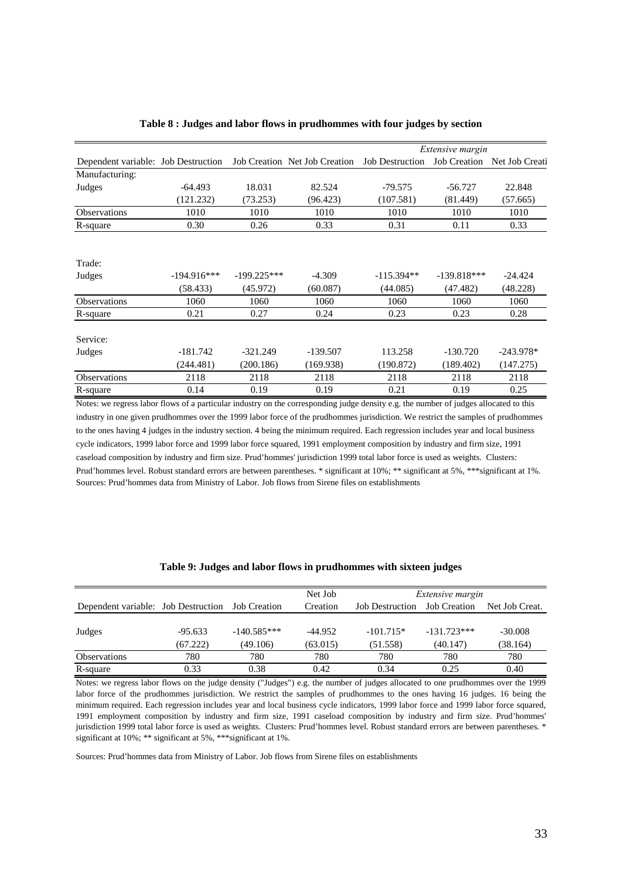|                                     |               |               |                                               |              | <i>Extensive margin</i> |                |  |
|-------------------------------------|---------------|---------------|-----------------------------------------------|--------------|-------------------------|----------------|--|
| Dependent variable: Job Destruction |               |               | Job Creation Net Job Creation Job Destruction |              | <b>Job Creation</b>     | Net Job Creati |  |
| Manufacturing:                      |               |               |                                               |              |                         |                |  |
| Judges                              | $-64.493$     | 18.031        | 82.524                                        | $-79.575$    | $-56.727$               | 22.848         |  |
|                                     | (121.232)     | (73.253)      | (96.423)                                      | (107.581)    | (81.449)                | (57.665)       |  |
| <b>Observations</b>                 | 1010          | 1010          | 1010                                          | 1010         | 1010                    | 1010           |  |
| R-square                            | 0.30          | 0.26          | 0.33                                          | 0.31         | 0.11                    | 0.33           |  |
|                                     |               |               |                                               |              |                         |                |  |
| Trade:                              |               |               |                                               |              |                         |                |  |
| Judges                              | $-194.916***$ | $-199.225***$ | $-4.309$                                      | $-115.394**$ | $-139.818***$           | $-24.424$      |  |
|                                     | (58.433)      | (45.972)      | (60.087)                                      | (44.085)     | (47.482)                | (48.228)       |  |
| <b>Observations</b>                 | 1060          | 1060          | 1060                                          | 1060         | 1060                    | 1060           |  |
| R-square                            | 0.21          | 0.27          | 0.24                                          | 0.23         | 0.23                    | 0.28           |  |
| Service:                            |               |               |                                               |              |                         |                |  |
| Judges                              | $-181.742$    | $-321.249$    | $-139.507$                                    | 113.258      | $-130.720$              | $-243.978*$    |  |
|                                     | (244.481)     | (200.186)     | (169.938)                                     | (190.872)    | (189.402)               | (147.275)      |  |
| <b>Observations</b>                 | 2118          | 2118          | 2118                                          | 2118         | 2118                    | 2118           |  |
| R-square                            | 0.14          | 0.19          | 0.19                                          | 0.21         | 0.19                    | 0.25           |  |

#### **Table 8 : Judges and labor flows in prudhommes with four judges by section**

Sources: Prud'hommes data from Ministry of Labor. Job flows from Sirene files on establishments Notes: we regress labor flows of a particular industry on the corresponding judge density e.g. the number of judges allocated to this industry in one given prudhommes over the 1999 labor force of the prudhommes jurisdiction. We restrict the samples of prudhommes to the ones having 4 judges in the industry section. 4 being the minimum required. Each regression includes year and local business cycle indicators, 1999 labor force and 1999 labor force squared, 1991 employment composition by industry and firm size, 1991 caseload composition by industry and firm size. Prud'hommes' jurisdiction 1999 total labor force is used as weights. Clusters: Prud'hommes level. Robust standard errors are between parentheses. \* significant at 10%; \*\* significant at 5%, \*\*\*significant at 1%.

|                                     |           |                     | Net Job   |                        | <i>Extensive margin</i> |                |
|-------------------------------------|-----------|---------------------|-----------|------------------------|-------------------------|----------------|
| Dependent variable: Job Destruction |           | <b>Job Creation</b> | Creation  | <b>Job Destruction</b> | <b>Job Creation</b>     | Net Job Creat. |
|                                     |           |                     |           |                        |                         |                |
| Judges                              | $-95.633$ | $-140.585***$       | $-44.952$ | $-101.715*$            | $-131.723***$           | $-30.008$      |
|                                     | (67.222)  | (49.106)            | (63.015)  | (51.558)               | (40.147)                | (38.164)       |
| <b>Observations</b>                 | 780       | 780                 | 780       | 780                    | 780                     | 780            |
| R-square                            | 0.33      | 0.38                | 0.42      | 0.34                   | 0.25                    | 0.40           |

**Table 9: Judges and labor flows in prudhommes with sixteen judges**

Notes: we regress labor flows on the judge density ("Judges") e.g. the number of judges allocated to one prudhommes over the 1999 labor force of the prudhommes jurisdiction. We restrict the samples of prudhommes to the ones having 16 judges. 16 being the minimum required. Each regression includes year and local business cycle indicators, 1999 labor force and 1999 labor force squared, 1991 employment composition by industry and firm size, 1991 caseload composition by industry and firm size. Prud'hommes' jurisdiction 1999 total labor force is used as weights. Clusters: Prud'hommes level. Robust standard errors are between parentheses. \* significant at 10%; \*\* significant at 5%, \*\*\*significant at 1%.

Sources: Prud'hommes data from Ministry of Labor. Job flows from Sirene files on establishments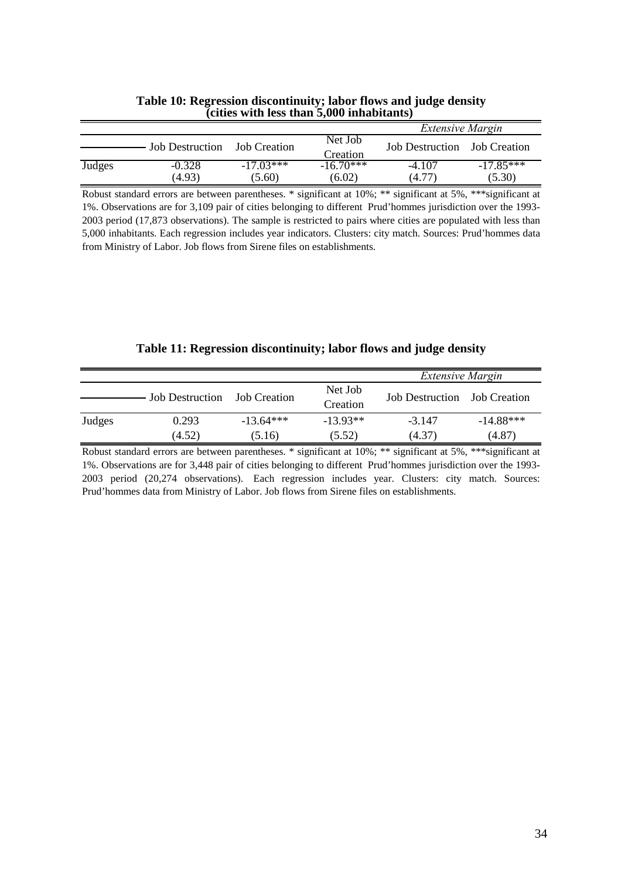|               |                    |                       |                      | <b>Extensive Margin</b>             |                       |  |
|---------------|--------------------|-----------------------|----------------------|-------------------------------------|-----------------------|--|
|               | Job Destruction    | Job Creation          | Net Job<br>Creation  | <b>Job Destruction</b> Job Creation |                       |  |
| <b>Judges</b> | $-0.328$<br>(4.93) | $-17.03***$<br>(5.60) | $-1670***$<br>(6.02) | $-4.107$<br>(4.77)                  | $-17.85***$<br>(5.30) |  |

### **Table 10: Regression discontinuity; labor flows and judge density (cities with less than 5,000 inhabitants)**

Robust standard errors are between parentheses. \* significant at 10%; \*\* significant at 5%, \*\*\*significant at 1%. Observations are for 3,109 pair of cities belonging to different Prud'hommes jurisdiction over the 1993- 2003 period (17,873 observations). The sample is restricted to pairs where cities are populated with less than 5,000 inhabitants. Each regression includes year indicators. Clusters: city match. Sources: Prud'hommes data from Ministry of Labor. Job flows from Sirene files on establishments.

| Table 11: Regression discontinuity; labor flows and judge density |  |  |
|-------------------------------------------------------------------|--|--|
|                                                                   |  |  |

|        |                        |                       |                      | <b>Extensive Margin</b>      |                       |
|--------|------------------------|-----------------------|----------------------|------------------------------|-----------------------|
|        | <b>Job Destruction</b> | Job Creation          | Net Job<br>Creation  | Job Destruction Job Creation |                       |
| Judges | 0.293<br>(4.52)        | $-13.64***$<br>(5.16) | $-13.93**$<br>(5.52) | $-3.147$<br>(4.37)           | $-14.88***$<br>(4.87) |

Robust standard errors are between parentheses. \* significant at 10%; \*\* significant at 5%, \*\*\*significant at 1%. Observations are for 3,448 pair of cities belonging to different Prud'hommes jurisdiction over the 1993- 2003 period (20,274 observations). Each regression includes year. Clusters: city match. Sources: Prud'hommes data from Ministry of Labor. Job flows from Sirene files on establishments.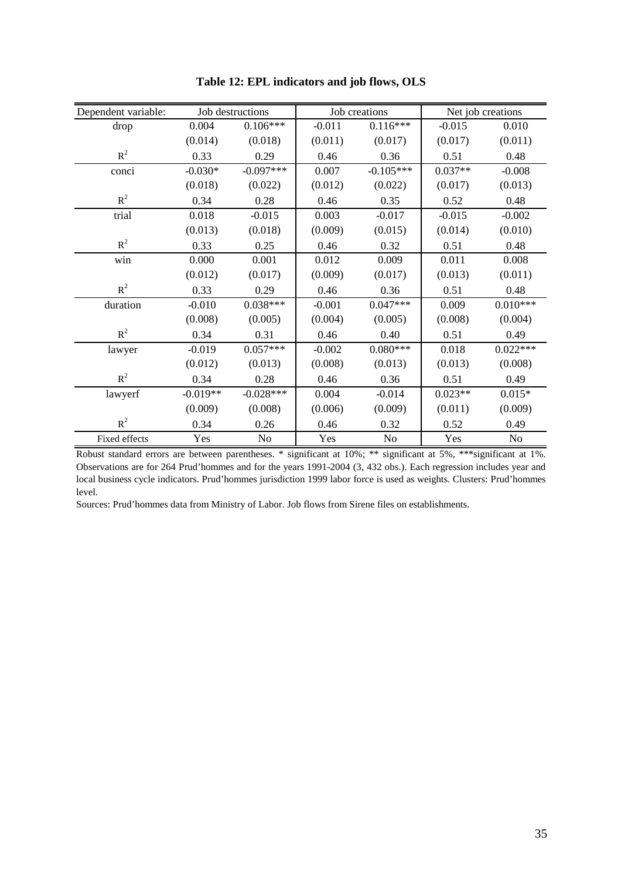| Dependent variable: |            | Job destructions |          | Job creations |           | Net job creations |  |  |
|---------------------|------------|------------------|----------|---------------|-----------|-------------------|--|--|
| drop                | 0.004      | $0.106***$       | $-0.011$ | $0.116***$    | $-0.015$  | 0.010             |  |  |
|                     | (0.014)    | (0.018)          | (0.011)  | (0.017)       | (0.017)   | (0.011)           |  |  |
| $R^2$               | 0.33       | 0.29             | 0.46     | 0.36          | 0.51      | 0.48              |  |  |
| conci               | $-0.030*$  | $-0.097***$      | 0.007    | $-0.105***$   | $0.037**$ | $-0.008$          |  |  |
|                     | (0.018)    | (0.022)          | (0.012)  | (0.022)       | (0.017)   | (0.013)           |  |  |
| $R^2$               | 0.34       | 0.28             | 0.46     | 0.35          | 0.52      | 0.48              |  |  |
| trial               | 0.018      | $-0.015$         | 0.003    | $-0.017$      | $-0.015$  | $-0.002$          |  |  |
|                     | (0.013)    | (0.018)          | (0.009)  | (0.015)       | (0.014)   | (0.010)           |  |  |
| $R^2$               | 0.33       | 0.25             | 0.46     | 0.32          | 0.51      | 0.48              |  |  |
| win                 | 0.000      | 0.001            | 0.012    | 0.009         | 0.011     | 0.008             |  |  |
|                     | (0.012)    | (0.017)          | (0.009)  | (0.017)       | (0.013)   | (0.011)           |  |  |
| $R^2$               | 0.33       | 0.29             | 0.46     | 0.36          | 0.51      | 0.48              |  |  |
| duration            | $-0.010$   | $0.038***$       | $-0.001$ | $0.047***$    | 0.009     | $0.010***$        |  |  |
|                     | (0.008)    | (0.005)          | (0.004)  | (0.005)       | (0.008)   | (0.004)           |  |  |
| $R^2$               | 0.34       | 0.31             | 0.46     | 0.40          | 0.51      | 0.49              |  |  |
| lawyer              | $-0.019$   | $0.057***$       | $-0.002$ | $0.080***$    | 0.018     | $0.022***$        |  |  |
|                     | (0.012)    | (0.013)          | (0.008)  | (0.013)       | (0.013)   | (0.008)           |  |  |
| $R^2$               | 0.34       | 0.28             | 0.46     | 0.36          | 0.51      | 0.49              |  |  |
| lawyerf             | $-0.019**$ | $-0.028***$      | 0.004    | $-0.014$      | $0.023**$ | $0.015*$          |  |  |
|                     | (0.009)    | (0.008)          | (0.006)  | (0.009)       | (0.011)   | (0.009)           |  |  |
| $R^2$               | 0.34       | 0.26             | 0.46     | 0.32          | 0.52      | 0.49              |  |  |
| Fixed effects       | Yes        | N <sub>0</sub>   | Yes      | No            | Yes       | N <sub>0</sub>    |  |  |

**Table 12: EPL indicators and job flows, OLS**

Robust standard errors are between parentheses. \* significant at 10%; \*\* significant at 5%, \*\*\*significant at 1%. Observations are for 264 Prud'hommes and for the years 1991-2004 (3, 432 obs.). Each regression includes year and local business cycle indicators. Prud'hommes jurisdiction 1999 labor force is used as weights. Clusters: Prud'hommes level.

Sources: Prud'hommes data from Ministry of Labor. Job flows from Sirene files on establishments.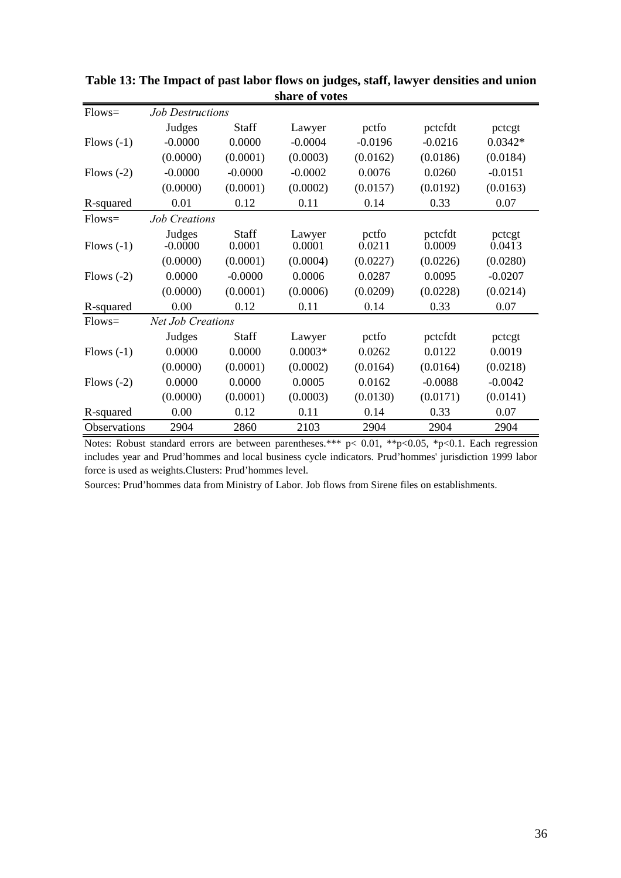| $Flows=$     | <b>Job Destructions</b>  |              |           |           |           |           |
|--------------|--------------------------|--------------|-----------|-----------|-----------|-----------|
|              | Judges                   | <b>Staff</b> | Lawyer    | pctfo     | pctcfdt   | pctcgt    |
| Flows $(-1)$ | $-0.0000$                | 0.0000       | $-0.0004$ | $-0.0196$ | $-0.0216$ | $0.0342*$ |
|              | (0.0000)                 | (0.0001)     | (0.0003)  | (0.0162)  | (0.0186)  | (0.0184)  |
| Flows $(-2)$ | $-0.0000$                | $-0.0000$    | $-0.0002$ | 0.0076    | 0.0260    | $-0.0151$ |
|              | (0.0000)                 | (0.0001)     | (0.0002)  | (0.0157)  | (0.0192)  | (0.0163)  |
| R-squared    | 0.01                     | 0.12         | 0.11      | 0.14      | 0.33      | 0.07      |
| $Flows=$     | <b>Job Creations</b>     |              |           |           |           |           |
|              | Judges                   | <b>Staff</b> | Lawyer    | pctfo     | pctcfdt   | pctcgt    |
| Flows $(-1)$ | $-0.0000$                | 0.0001       | 0.0001    | 0.0211    | 0.0009    | 0.0413    |
|              | (0.0000)                 | (0.0001)     | (0.0004)  | (0.0227)  | (0.0226)  | (0.0280)  |
| Flows $(-2)$ | 0.0000                   | $-0.0000$    | 0.0006    | 0.0287    | 0.0095    | $-0.0207$ |
|              | (0.0000)                 | (0.0001)     | (0.0006)  | (0.0209)  | (0.0228)  | (0.0214)  |
| R-squared    | 0.00                     | 0.12         | 0.11      | 0.14      | 0.33      | 0.07      |
| $Flows=$     | <b>Net Job Creations</b> |              |           |           |           |           |
|              | Judges                   | <b>Staff</b> | Lawyer    | pctfo     | pctcfdt   | pctcgt    |
| Flows $(-1)$ | 0.0000                   | 0.0000       | $0.0003*$ | 0.0262    | 0.0122    | 0.0019    |
|              | (0.0000)                 | (0.0001)     | (0.0002)  | (0.0164)  | (0.0164)  | (0.0218)  |
| Flows $(-2)$ | 0.0000                   | 0.0000       | 0.0005    | 0.0162    | $-0.0088$ | $-0.0042$ |
|              | (0.0000)                 | (0.0001)     | (0.0003)  | (0.0130)  | (0.0171)  | (0.0141)  |
| R-squared    | 0.00                     | 0.12         | 0.11      | 0.14      | 0.33      | 0.07      |
| Observations | 2904                     | 2860         | 2103      | 2904      | 2904      | 2904      |

**Table 13: The Impact of past labor flows on judges, staff, lawyer densities and union share of votes**

Notes: Robust standard errors are between parentheses.\*\*\* p< 0.01, \*\*p<0.05, \*p<0.1. Each regression includes year and Prud'hommes and local business cycle indicators. Prud'hommes' jurisdiction 1999 labor force is used as weights.Clusters: Prud'hommes level.

Sources: Prud'hommes data from Ministry of Labor. Job flows from Sirene files on establishments.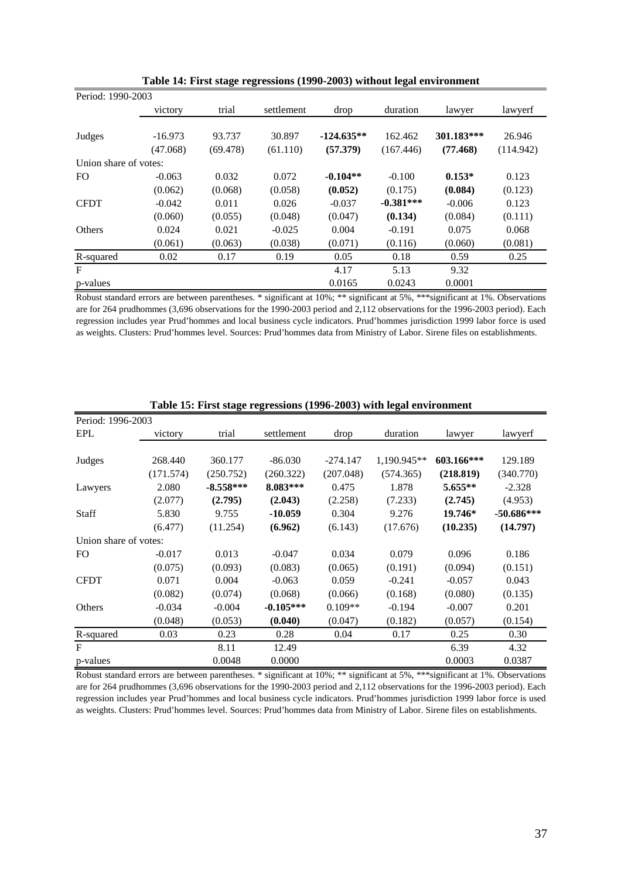| Period: 1990-2003     |           |          |            |              |             |            |           |
|-----------------------|-----------|----------|------------|--------------|-------------|------------|-----------|
|                       | victory   | trial    | settlement | drop         | duration    | lawyer     | lawyerf   |
|                       |           |          |            |              |             |            |           |
| Judges                | $-16.973$ | 93.737   | 30.897     | $-124.635**$ | 162.462     | 301.183*** | 26.946    |
|                       | (47.068)  | (69.478) | (61.110)   | (57.379)     | (167.446)   | (77.468)   | (114.942) |
| Union share of votes: |           |          |            |              |             |            |           |
| F <sub>O</sub>        | $-0.063$  | 0.032    | 0.072      | $-0.104**$   | $-0.100$    | $0.153*$   | 0.123     |
|                       | (0.062)   | (0.068)  | (0.058)    | (0.052)      | (0.175)     | (0.084)    | (0.123)   |
| <b>CFDT</b>           | $-0.042$  | 0.011    | 0.026      | $-0.037$     | $-0.381***$ | $-0.006$   | 0.123     |
|                       | (0.060)   | (0.055)  | (0.048)    | (0.047)      | (0.134)     | (0.084)    | (0.111)   |
| Others                | 0.024     | 0.021    | $-0.025$   | 0.004        | $-0.191$    | 0.075      | 0.068     |
|                       | (0.061)   | (0.063)  | (0.038)    | (0.071)      | (0.116)     | (0.060)    | (0.081)   |
| R-squared             | 0.02      | 0.17     | 0.19       | 0.05         | 0.18        | 0.59       | 0.25      |
| F                     |           |          |            | 4.17         | 5.13        | 9.32       |           |
| p-values              |           |          |            | 0.0165       | 0.0243      | 0.0001     |           |

Robust standard errors are between parentheses. \* significant at 10%; \*\* significant at 5%, \*\*\*significant at 1%. Observations are for 264 prudhommes (3,696 observations for the 1990-2003 period and 2,112 observations for the 1996-2003 period). Each regression includes year Prud'hommes and local business cycle indicators. Prud'hommes jurisdiction 1999 labor force is used as weights. Clusters: Prud'hommes level. Sources: Prud'hommes data from Ministry of Labor. Sirene files on establishments.

| Period: 1996-2003     |           |             |             |            |             |            |              |
|-----------------------|-----------|-------------|-------------|------------|-------------|------------|--------------|
| <b>EPL</b>            | victory   | trial       | settlement  | drop       | duration    | lawyer     | lawyerf      |
|                       |           |             |             |            |             |            |              |
| Judges                | 268.440   | 360.177     | $-86.030$   | $-274.147$ | 1,190.945** | 603.166*** | 129.189      |
|                       | (171.574) | (250.752)   | (260.322)   | (207.048)  | (574.365)   | (218.819)  | (340.770)    |
| Lawyers               | 2.080     | $-8.558***$ | 8.083***    | 0.475      | 1.878       | $5.655**$  | $-2.328$     |
|                       | (2.077)   | (2.795)     | (2.043)     | (2.258)    | (7.233)     | (2.745)    | (4.953)      |
| Staff                 | 5.830     | 9.755       | $-10.059$   | 0.304      | 9.276       | 19.746*    | $-50.686***$ |
|                       | (6.477)   | (11.254)    | (6.962)     | (6.143)    | (17.676)    | (10.235)   | (14.797)     |
| Union share of votes: |           |             |             |            |             |            |              |
| FO.                   | $-0.017$  | 0.013       | $-0.047$    | 0.034      | 0.079       | 0.096      | 0.186        |
|                       | (0.075)   | (0.093)     | (0.083)     | (0.065)    | (0.191)     | (0.094)    | (0.151)      |
| <b>CFDT</b>           | 0.071     | 0.004       | $-0.063$    | 0.059      | $-0.241$    | $-0.057$   | 0.043        |
|                       | (0.082)   | (0.074)     | (0.068)     | (0.066)    | (0.168)     | (0.080)    | (0.135)      |
| Others                | $-0.034$  | $-0.004$    | $-0.105***$ | $0.109**$  | $-0.194$    | $-0.007$   | 0.201        |
|                       | (0.048)   | (0.053)     | (0.040)     | (0.047)    | (0.182)     | (0.057)    | (0.154)      |
| R-squared             | 0.03      | 0.23        | 0.28        | 0.04       | 0.17        | 0.25       | 0.30         |
| F                     |           | 8.11        | 12.49       |            |             | 6.39       | 4.32         |
| p-values              |           | 0.0048      | 0.0000      |            |             | 0.0003     | 0.0387       |

**Table 15: First stage regressions (1996-2003) with legal environment**

Robust standard errors are between parentheses. \* significant at 10%; \*\* significant at 5%, \*\*\*significant at 1%. Observations are for 264 prudhommes (3,696 observations for the 1990-2003 period and 2,112 observations for the 1996-2003 period). Each regression includes year Prud'hommes and local business cycle indicators. Prud'hommes jurisdiction 1999 labor force is used as weights. Clusters: Prud'hommes level. Sources: Prud'hommes data from Ministry of Labor. Sirene files on establishments.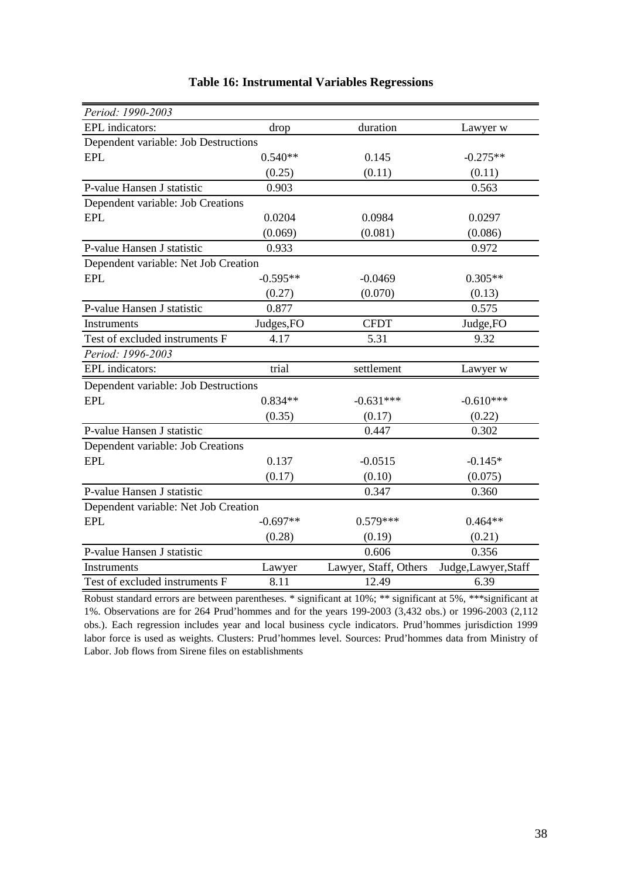| Period: 1990-2003                    |            |                       |                      |
|--------------------------------------|------------|-----------------------|----------------------|
| EPL indicators:                      | drop       | duration              | Lawyer w             |
| Dependent variable: Job Destructions |            |                       |                      |
| <b>EPL</b>                           | $0.540**$  | 0.145                 | $-0.275**$           |
|                                      | (0.25)     | (0.11)                | (0.11)               |
| P-value Hansen J statistic           | 0.903      |                       | 0.563                |
| Dependent variable: Job Creations    |            |                       |                      |
| <b>EPL</b>                           | 0.0204     | 0.0984                | 0.0297               |
|                                      | (0.069)    | (0.081)               | (0.086)              |
| P-value Hansen J statistic           | 0.933      |                       | 0.972                |
| Dependent variable: Net Job Creation |            |                       |                      |
| <b>EPL</b>                           | $-0.595**$ | $-0.0469$             | $0.305**$            |
|                                      | (0.27)     | (0.070)               | (0.13)               |
| P-value Hansen J statistic           | 0.877      |                       | 0.575                |
| Instruments                          | Judges, FO | <b>CFDT</b>           | Judge, FO            |
| Test of excluded instruments F       | 4.17       | 5.31                  | 9.32                 |
| Period: 1996-2003                    |            |                       |                      |
| EPL indicators:                      | trial      | settlement            | Lawyer w             |
| Dependent variable: Job Destructions |            |                       |                      |
| <b>EPL</b>                           | $0.834**$  | $-0.631***$           | $-0.610***$          |
|                                      | (0.35)     | (0.17)                | (0.22)               |
| P-value Hansen J statistic           |            | 0.447                 | 0.302                |
| Dependent variable: Job Creations    |            |                       |                      |
| <b>EPL</b>                           | 0.137      | $-0.0515$             | $-0.145*$            |
|                                      | (0.17)     | (0.10)                | (0.075)              |
| P-value Hansen J statistic           |            | 0.347                 | 0.360                |
| Dependent variable: Net Job Creation |            |                       |                      |
| <b>EPL</b>                           | $-0.697**$ | $0.579***$            | $0.464**$            |
|                                      | (0.28)     | (0.19)                | (0.21)               |
| P-value Hansen J statistic           |            | 0.606                 | 0.356                |
| Instruments                          | Lawyer     | Lawyer, Staff, Others | Judge, Lawyer, Staff |
| Test of excluded instruments F       | 8.11       | 12.49                 | 6.39                 |

## **Table 16: Instrumental Variables Regressions**

Robust standard errors are between parentheses. \* significant at 10%; \*\* significant at 5%, \*\*\*significant at 1%. Observations are for 264 Prud'hommes and for the years 199-2003 (3,432 obs.) or 1996-2003 (2,112 obs.). Each regression includes year and local business cycle indicators. Prud'hommes jurisdiction 1999 labor force is used as weights. Clusters: Prud'hommes level. Sources: Prud'hommes data from Ministry of Labor. Job flows from Sirene files on establishments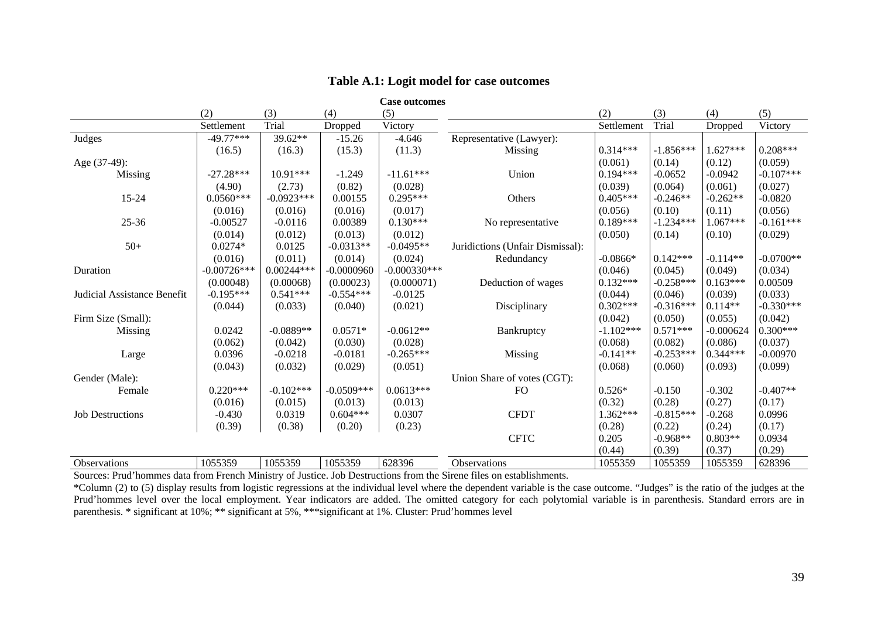| Table A.1: Logit model for case outcomes |  |
|------------------------------------------|--|
|------------------------------------------|--|

|                             | <b>Case outcomes</b> |              |              |                |                                  |             |             |             |             |
|-----------------------------|----------------------|--------------|--------------|----------------|----------------------------------|-------------|-------------|-------------|-------------|
|                             | (2)                  | (3)          | (4)          | (5)            |                                  | (2)         | (3)         | (4)         | (5)         |
|                             | Settlement           | Trial        | Dropped      | Victory        |                                  | Settlement  | Trial       | Dropped     | Victory     |
| Judges                      | $-49.77***$          | 39.62**      | $-15.26$     | $-4.646$       | Representative (Lawyer):         |             |             |             |             |
|                             | (16.5)               | (16.3)       | (15.3)       | (11.3)         | Missing                          | $0.314***$  | $-1.856***$ | $1.627***$  | $0.208***$  |
| Age (37-49):                |                      |              |              |                |                                  | (0.061)     | (0.14)      | (0.12)      | (0.059)     |
| Missing                     | $-27.28***$          | $10.91***$   | $-1.249$     | $-11.61***$    | Union                            | $0.194***$  | $-0.0652$   | $-0.0942$   | $-0.107***$ |
|                             | (4.90)               | (2.73)       | (0.82)       | (0.028)        |                                  | (0.039)     | (0.064)     | (0.061)     | (0.027)     |
| $15 - 24$                   | $0.0560***$          | $-0.0923***$ | 0.00155      | $0.295***$     | Others                           | $0.405***$  | $-0.246**$  | $-0.262**$  | $-0.0820$   |
|                             | (0.016)              | (0.016)      | (0.016)      | (0.017)        |                                  | (0.056)     | (0.10)      | (0.11)      | (0.056)     |
| $25 - 36$                   | $-0.00527$           | $-0.0116$    | 0.00389      | $0.130***$     | No representative                | $0.189***$  | $-1.234***$ | 1.067***    | $-0.161***$ |
|                             | (0.014)              | (0.012)      | (0.013)      | (0.012)        |                                  | (0.050)     | (0.14)      | (0.10)      | (0.029)     |
| $50+$                       | $0.0274*$            | 0.0125       | $-0.0313**$  | $-0.0495**$    | Juridictions (Unfair Dismissal): |             |             |             |             |
|                             | (0.016)              | (0.011)      | (0.014)      | (0.024)        | Redundancy                       | $-0.0866*$  | $0.142***$  | $-0.114**$  | $-0.0700**$ |
| Duration                    | $-0.00726***$        | $0.00244***$ | $-0.0000960$ | $-0.000330***$ |                                  | (0.046)     | (0.045)     | (0.049)     | (0.034)     |
|                             | (0.00048)            | (0.00068)    | (0.00023)    | (0.000071)     | Deduction of wages               | $0.132***$  | $-0.258***$ | $0.163***$  | 0.00509     |
| Judicial Assistance Benefit | $-0.195***$          | $0.541***$   | $-0.554***$  | $-0.0125$      |                                  | (0.044)     | (0.046)     | (0.039)     | (0.033)     |
|                             | (0.044)              | (0.033)      | (0.040)      | (0.021)        | Disciplinary                     | $0.302***$  | $-0.316***$ | $0.114**$   | $-0.330***$ |
| Firm Size (Small):          |                      |              |              |                |                                  | (0.042)     | (0.050)     | (0.055)     | (0.042)     |
| Missing                     | 0.0242               | $-0.0889**$  | $0.0571*$    | $-0.0612**$    | Bankruptcy                       | $-1.102***$ | $0.571***$  | $-0.000624$ | $0.300***$  |
|                             | (0.062)              | (0.042)      | (0.030)      | (0.028)        |                                  | (0.068)     | (0.082)     | (0.086)     | (0.037)     |
| Large                       | 0.0396               | $-0.0218$    | $-0.0181$    | $-0.265***$    | Missing                          | $-0.141**$  | $-0.253***$ | $0.344***$  | $-0.00970$  |
|                             | (0.043)              | (0.032)      | (0.029)      | (0.051)        |                                  | (0.068)     | (0.060)     | (0.093)     | (0.099)     |
| Gender (Male):              |                      |              |              |                | Union Share of votes (CGT):      |             |             |             |             |
| Female                      | $0.220***$           | $-0.102***$  | $-0.0509***$ | $0.0613***$    | <b>FO</b>                        | $0.526*$    | $-0.150$    | $-0.302$    | $-0.407**$  |
|                             | (0.016)              | (0.015)      | (0.013)      | (0.013)        |                                  | (0.32)      | (0.28)      | (0.27)      | (0.17)      |
| <b>Job Destructions</b>     | $-0.430$             | 0.0319       | $0.604***$   | 0.0307         | <b>CFDT</b>                      | $1.362***$  | $-0.815***$ | $-0.268$    | 0.0996      |
|                             | (0.39)               | (0.38)       | (0.20)       | (0.23)         |                                  | (0.28)      | (0.22)      | (0.24)      | (0.17)      |
|                             |                      |              |              |                | <b>CFTC</b>                      | 0.205       | $-0.968**$  | $0.803**$   | 0.0934      |
|                             |                      |              |              |                |                                  | (0.44)      | (0.39)      | (0.37)      | (0.29)      |
| Observations                | 1055359              | 1055359      | 1055359      | 628396         | Observations                     | 1055359     | 1055359     | 1055359     | 628396      |

Sources: Prud'hommes data from French Ministry of Justice. Job Destructions from the Sirene files on establishments.

\*Column (2) to (5) display results from logistic regressions at the individual level where the dependent variable is the case outcome. "Judges" is the ratio of the judges at the Prud'hommes level over the local employment. Year indicators are added. The omitted category for each polytomial variable is in parenthesis. Standard errors are in parenthesis. \* significant at 10%; \*\* significant at 5%, \*\*\*significant at 1%. Cluster: Prud'hommes level